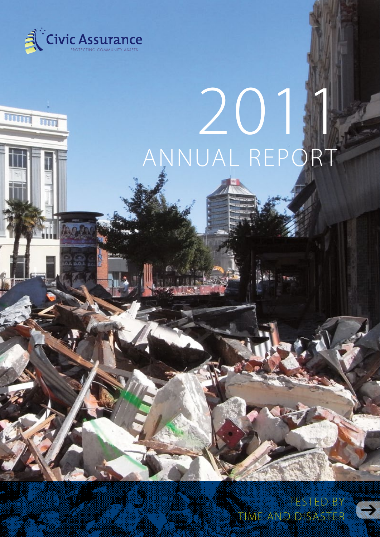

TISTIN

FFIFE

# 2011 Annual Report

**TESTED BY** time and disaster

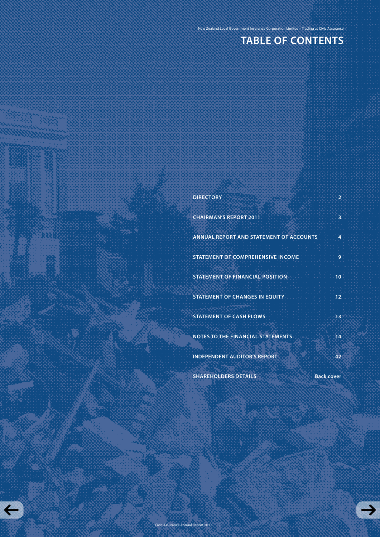# **TABLE OF CONTENTS**

New Zealand Local Government Insurance Corporation Limited – Trading as Civic Assurance

| <b>DIRECTORY</b>                                 | 2 <sup>1</sup>  |
|--------------------------------------------------|-----------------|
| <b>CHAIRMAN'S REPORT 2011</b>                    | $\overline{3}$  |
| ANNUAL REPORT AND STATEMENT OF ACCOUNTS          | $\overline{4}$  |
| STATEMENT OF COMPREHENSIVE INCOME                | $9 -$           |
| STATEMENT OF FINANCIAL POSITION                  | 10 <sup>1</sup> |
| <b>STATEMENT OF CHANGES IN EQUITY</b>            | 12 <sup>2</sup> |
| <b>STATEMENT OF CASH FLOWS</b>                   | 13              |
| NOTES TO THE FINANCIAL STATEMENTS                | 14              |
| <b>INDEPENDENT AUDITOR'S REPORT</b>              | 42              |
| <b>SHAREHOLDERS DETAILS</b><br><b>Back cover</b> |                 |
|                                                  |                 |
|                                                  |                 |
|                                                  |                 |
|                                                  |                 |
|                                                  |                 |
|                                                  |                 |
|                                                  |                 |
| Civic Assurance Annual Report 2011<br>$\vert$ 1  |                 |

New Zealand Local Government Insurance Corporation Limited – Trading as Civic Assurance

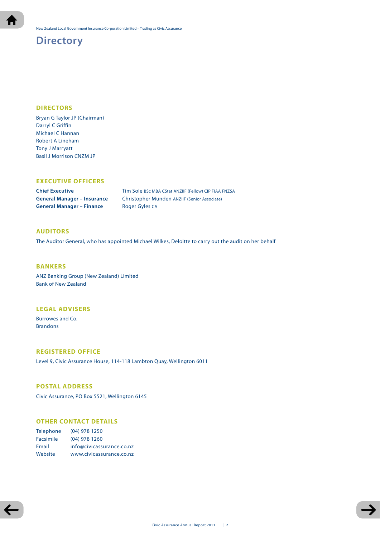# **Directory**

# **DIRECTORS**

Bryan G Taylor JP (Chairman) Darryl C Griffin Michael C Hannan Robert A Lineham Tony J Marryatt Basil J Morrison CNZM JP

# **EXECUTIVE OFFICERS**

**General Manager – Finance** Roger Gyles CA

**Chief Executive** Tim Sole BSc MBA CStat ANZIIF (Fellow) CIP FIAA FNZSA **General Manager – Insurance** Christopher Munden ANZIIF (Senior Associate)

# **AUDITORS**

The Auditor General, who has appointed Michael Wilkes, Deloitte to carry out the audit on her behalf

## **BANKERS**

ANZ Banking Group (New Zealand) Limited Bank of New Zealand

## **LEGAL ADVISERS**

Burrowes and Co. Brandons

## **REGISTERED OFFICE**

Level 9, Civic Assurance House, 114-118 Lambton Quay, Wellington 6011

# **POSTAL ADDRESS**

Civic Assurance, PO Box 5521, Wellington 6145

## **OTHER CONTACT DETAILS**

| <b>Telephone</b> | $(04)$ 978 1250           |
|------------------|---------------------------|
| Facsimile        | $(04)$ 978 1260           |
| Email            | info@civicassurance.co.nz |
| Website          | www.civicassurance.co.nz  |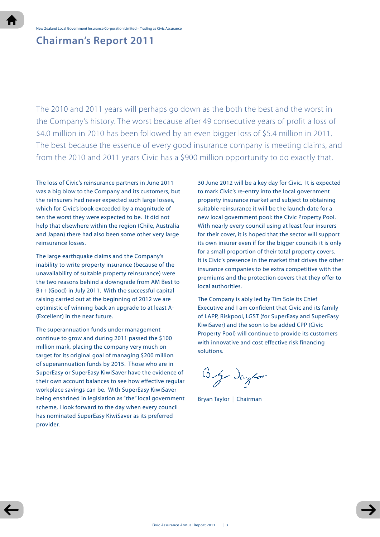# **Chairman's Report 2011**

The 2010 and 2011 years will perhaps go down as the both the best and the worst in the Company's history. The worst because after 49 consecutive years of profit a loss of \$4.0 million in 2010 has been followed by an even bigger loss of \$5.4 million in 2011. The best because the essence of every good insurance company is meeting claims, and from the 2010 and 2011 years Civic has a \$900 million opportunity to do exactly that.

The loss of Civic's reinsurance partners in June 2011 was a big blow to the Company and its customers, but the reinsurers had never expected such large losses, which for Civic's book exceeded by a magnitude of ten the worst they were expected to be. It did not help that elsewhere within the region (Chile, Australia and Japan) there had also been some other very large reinsurance losses.

The large earthquake claims and the Company's inability to write property insurance (because of the unavailability of suitable property reinsurance) were the two reasons behind a downgrade from AM Best to B++ (Good) in July 2011. With the successful capital raising carried out at the beginning of 2012 we are optimistic of winning back an upgrade to at least A- (Excellent) in the near future.

The superannuation funds under management continue to grow and during 2011 passed the \$100 million mark, placing the company very much on target for its original goal of managing \$200 million of superannuation funds by 2015. Those who are in SuperEasy or SuperEasy KiwiSaver have the evidence of their own account balances to see how effective regular workplace savings can be. With SuperEasy KiwiSaver being enshrined in legislation as "the" local government scheme, I look forward to the day when every council has nominated SuperEasy KiwiSaver as its preferred provider.

30 June 2012 will be a key day for Civic. It is expected to mark Civic's re-entry into the local government property insurance market and subject to obtaining suitable reinsurance it will be the launch date for a new local government pool: the Civic Property Pool. With nearly every council using at least four insurers for their cover, it is hoped that the sector will support its own insurer even if for the bigger councils it is only for a small proportion of their total property covers. It is Civic's presence in the market that drives the other insurance companies to be extra competitive with the premiums and the protection covers that they offer to local authorities.

The Company is ably led by Tim Sole its Chief Executive and I am confident that Civic and its family of LAPP, Riskpool, LGST (for SuperEasy and SuperEasy KiwiSaver) and the soon to be added CPP (Civic Property Pool) will continue to provide its customers with innovative and cost effective risk financing solutions.

By dayton

Bryan Taylor | Chairman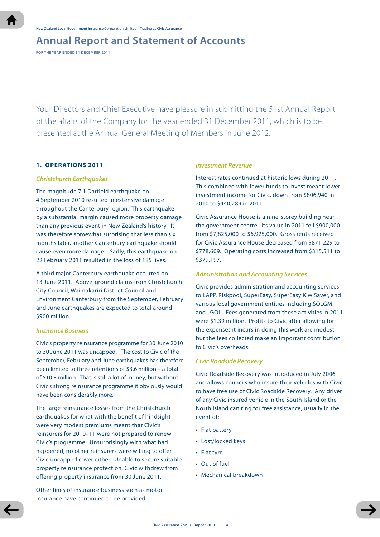**FOR THE YEAR ENDED 31 DECEMBER 2011**

Your Directors and Chief Executive have pleasure in submitting the 51st Annual Report of the affairs of the Company for the year ended 31 December 2011, which is to be presented at the Annual General Meeting of Members in June 2012.

## **1. OPERATIONS 2011**

## *Christchurch Earthquakes*

The magnitude 7.1 Darfield earthquake on 4 September 2010 resulted in extensive damage throughout the Canterbury region. This earthquake by a substantial margin caused more property damage than any previous event in New Zealand's history. It was therefore somewhat surprising that less than six months later, another Canterbury earthquake should cause even more damage. Sadly, this earthquake on 22 February 2011 resulted in the loss of 185 lives.

A third major Canterbury earthquake occurred on 13 June 2011. Above-ground claims from Christchurch City Council, Waimakariri District Council and Environment Canterbury from the September, February and June earthquakes are expected to total around \$900 million.

## *Insurance Business*

Civic's property reinsurance programme for 30 June 2010 to 30 June 2011 was uncapped. The cost to Civic of the September, February and June earthquakes has therefore been limited to three retentions of \$3.6 million – a total of \$10.8 million. That is still a lot of money, but without Civic's strong reinsurance programme it obviously would have been considerably more.

The large reinsurance losses from the Christchurch earthquakes for what with the benefit of hindsight were very modest premiums meant that Civic's reinsurers for 2010–11 were not prepared to renew Civic's programme. Unsurprisingly with what had happened, no other reinsurers were willing to offer Civic uncapped cover either. Unable to secure suitable property reinsurance protection, Civic withdrew from offering property insurance from 30 June 2011.

Other lines of insurance business such as motor insurance have continued to be provided.

#### *Investment Revenue*

Interest rates continued at historic lows during 2011. This combined with fewer funds to invest meant lower investment income for Civic, down from \$806,940 in 2010 to \$440,289 in 2011.

Civic Assurance House is a nine-storey building near the government centre. Its value in 2011 fell \$900,000 from \$7,825,000 to \$6,925,000. Gross rents received for Civic Assurance House decreased from \$871,229 to \$778,609. Operating costs increased from \$315,511 to \$379,197.

#### *Administration and Accounting Services*

Civic provides administration and accounting services to LAPP, Riskpool, SuperEasy, SuperEasy KiwiSaver, and various local government entities including SOLGM and LGOL. Fees generated from these activities in 2011 were \$1.39 million. Profits to Civic after allowing for the expenses it incurs in doing this work are modest, but the fees collected make an important contribution to Civic's overheads.

# *Civic Roadside Recovery*

Civic Roadside Recovery was introduced in July 2006 and allows councils who insure their vehicles with Civic to have free use of Civic Roadside Recovery. Any driver of any Civic insured vehicle in the South Island or the North Island can ring for free assistance, usually in the event of:

- **•** Flat battery
- Lost/locked keys
- • Flat tyre
- Out of fuel
- **•** Mechanical breakdown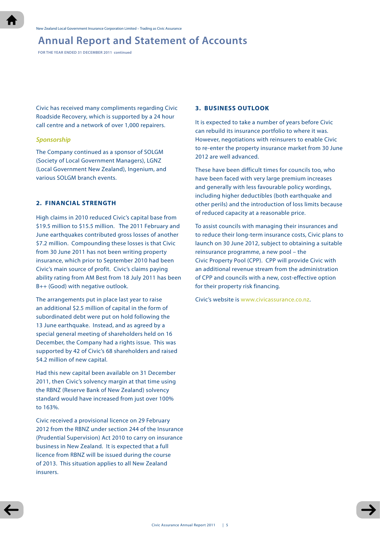**FOR THE YEAR ENDED 31 DECEMBER 2011 continued**

Civic has received many compliments regarding Civic Roadside Recovery, which is supported by a 24 hour call centre and a network of over 1,000 repairers.

## *Sponsorship*

The Company continued as a sponsor of SOLGM (Society of Local Government Managers), LGNZ (Local Government New Zealand), Ingenium, and various SOLGM branch events.

# **2. FINANCIAL STRENGTH**

High claims in 2010 reduced Civic's capital base from \$19.5 million to \$15.5 million. The 2011 February and June earthquakes contributed gross losses of another \$7.2 million. Compounding these losses is that Civic from 30 June 2011 has not been writing property insurance, which prior to September 2010 had been Civic's main source of profit. Civic's claims paying ability rating from AM Best from 18 July 2011 has been B++ (Good) with negative outlook.

The arrangements put in place last year to raise an additional \$2.5 million of capital in the form of subordinated debt were put on hold following the 13 June earthquake. Instead, and as agreed by a special general meeting of shareholders held on 16 December, the Company had a rights issue. This was supported by 42 of Civic's 68 shareholders and raised \$4.2 million of new capital.

Had this new capital been available on 31 December 2011, then Civic's solvency margin at that time using the RBNZ (Reserve Bank of New Zealand) solvency standard would have increased from just over 100% to 163%.

Civic received a provisional licence on 29 February 2012 from the RBNZ under section 244 of the Insurance (Prudential Supervision) Act 2010 to carry on insurance business in New Zealand. It is expected that a full licence from RBNZ will be issued during the course of 2013. This situation applies to all New Zealand insurers.

# **3. BUSINESS OUTLOOK**

It is expected to take a number of years before Civic can rebuild its insurance portfolio to where it was. However, negotiations with reinsurers to enable Civic to re-enter the property insurance market from 30 June 2012 are well advanced.

These have been difficult times for councils too, who have been faced with very large premium increases and generally with less favourable policy wordings, including higher deductibles (both earthquake and other perils) and the introduction of loss limits because of reduced capacity at a reasonable price.

To assist councils with managing their insurances and to reduce their long-term insurance costs, Civic plans to launch on 30 June 2012, subject to obtaining a suitable reinsurance programme, a new pool – the Civic Property Pool (CPP). CPP will provide Civic with an additional revenue stream from the administration of CPP and councils with a new, cost-effective option for their property risk financing.

Civic's website is www.civicassurance.co.nz.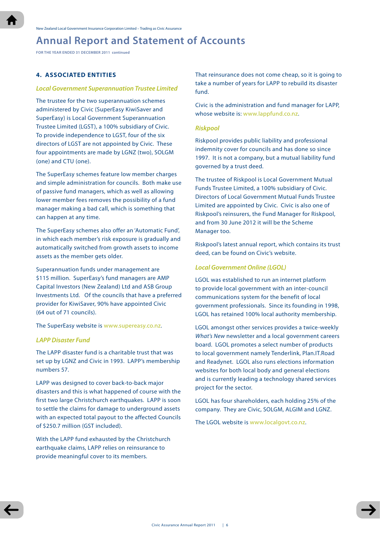**FOR THE YEAR ENDED 31 DECEMBER 2011 continued**

# **4. ASSOCIATED ENTITIES**

#### *Local Government Superannuation Trustee Limited*

The trustee for the two superannuation schemes administered by Civic (SuperEasy KiwiSaver and SuperEasy) is Local Government Superannuation Trustee Limited (LGST), a 100% subsidiary of Civic. To provide independence to LGST, four of the six directors of LGST are not appointed by Civic. These four appointments are made by LGNZ (two), SOLGM (one) and CTU (one).

The SuperEasy schemes feature low member charges and simple administration for councils. Both make use of passive fund managers, which as well as allowing lower member fees removes the possibility of a fund manager making a bad call, which is something that can happen at any time.

The SuperEasy schemes also offer an 'Automatic Fund', in which each member's risk exposure is gradually and automatically switched from growth assets to income assets as the member gets older.

Superannuation funds under management are \$115 million. SuperEasy's fund managers are AMP Capital Investors (New Zealand) Ltd and ASB Group Investments Ltd. Of the councils that have a preferred provider for KiwiSaver, 90% have appointed Civic (64 out of 71 councils).

The SuperEasy website is www.supereasy.co.nz.

# *LAPP Disaster Fund*

The LAPP disaster fund is a charitable trust that was set up by LGNZ and Civic in 1993. LAPP's membership numbers 57.

LAPP was designed to cover back-to-back major disasters and this is what happened of course with the first two large Christchurch earthquakes. LAPP is soon to settle the claims for damage to underground assets with an expected total payout to the affected Councils of \$250.7 million (GST included).

With the LAPP fund exhausted by the Christchurch earthquake claims, LAPP relies on reinsurance to provide meaningful cover to its members.

That reinsurance does not come cheap, so it is going to take a number of years for LAPP to rebuild its disaster fund.

Civic is the administration and fund manager for LAPP, whose website is: www.lappfund.co.nz.

#### *Riskpool*

Riskpool provides public liability and professional indemnity cover for councils and has done so since 1997. It is not a company, but a mutual liability fund governed by a trust deed.

The trustee of Riskpool is Local Government Mutual Funds Trustee Limited, a 100% subsidiary of Civic. Directors of Local Government Mutual Funds Trustee Limited are appointed by Civic. Civic is also one of Riskpool's reinsurers, the Fund Manager for Riskpool, and from 30 June 2012 it will be the Scheme Manager too.

Riskpool's latest annual report, which contains its trust deed, can be found on Civic's website.

# *Local Government Online (LGOL)*

LGOL was established to run an internet platform to provide local government with an inter-council communications system for the benefit of local government professionals. Since its founding in 1998, LGOL has retained 100% local authority membership.

LGOL amongst other services provides a twice-weekly *What's New* newsletter and a local government careers board. LGOL promotes a select number of products to local government namely Tenderlink, Plan.IT.Road and Readynet. LGOL also runs elections information websites for both local body and general elections and is currently leading a technology shared services project for the sector.

LGOL has four shareholders, each holding 25% of the company. They are Civic, SOLGM, ALGIM and LGNZ.

The LGOL website is www.localgovt.co.nz.

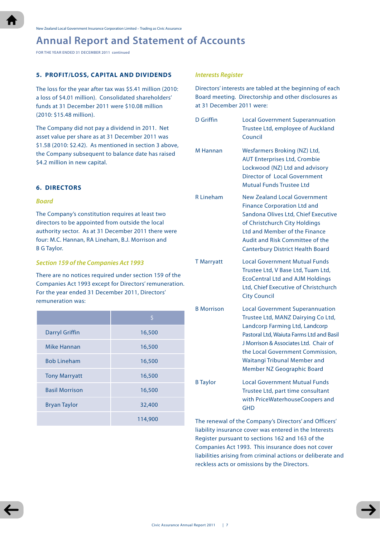**FOR THE YEAR ENDED 31 DECEMBER 2011 continued**

# **5. PROFIT/LOSS, CAPITAL AND DIVIDENDS**

The loss for the year after tax was \$5.41 million (2010: a loss of \$4.01 million). Consolidated shareholders' funds at 31 December 2011 were \$10.08 million (2010: \$15.48 million).

The Company did not pay a dividend in 2011. Net asset value per share as at 31 December 2011 was \$1.58 (2010: \$2.42). As mentioned in section 3 above, the Company subsequent to balance date has raised \$4.2 million in new capital.

## **6. DIRECTORS**

#### *Board*

The Company's constitution requires at least two directors to be appointed from outside the local authority sector. As at 31 December 2011 there were four: M.C. Hannan, RA Lineham, B.J. Morrison and B G Taylor.

## *Section 159 of the Companies Act 1993*

There are no notices required under section 159 of the Companies Act 1993 except for Directors' remuneration. For the year ended 31 December 2011, Directors' remuneration was:

|                       | $\ddot{\varsigma}$ |
|-----------------------|--------------------|
| <b>Darryl Griffin</b> | 16,500             |
| Mike Hannan           | 16,500             |
| <b>Bob Lineham</b>    | 16,500             |
| <b>Tony Marryatt</b>  | 16,500             |
| <b>Basil Morrison</b> | 16,500             |
| <b>Bryan Taylor</b>   | 32,400             |
|                       | 114,900            |

## *Interests Register*

Directors' interests are tabled at the beginning of each Board meeting. Directorship and other disclosures as at 31 December 2011 were:

| <b>D</b> Griffin  | <b>Local Government Superannuation</b><br>Trustee Ltd, employee of Auckland<br>Council                                                                                                                                                                                                                       |
|-------------------|--------------------------------------------------------------------------------------------------------------------------------------------------------------------------------------------------------------------------------------------------------------------------------------------------------------|
| M Hannan          | Wesfarmers Broking (NZ) Ltd,<br><b>AUT Enterprises Ltd, Crombie</b><br>Lockwood (NZ) Ltd and advisory<br>Director of Local Government<br>Mutual Funds Trustee Ltd                                                                                                                                            |
| <b>R</b> Lineham  | <b>New Zealand Local Government</b><br><b>Finance Corporation Ltd and</b><br>Sandona Olives Ltd, Chief Executive<br>of Christchurch City Holdings<br>Ltd and Member of the Finance<br>Audit and Risk Committee of the<br><b>Canterbury District Health Board</b>                                             |
| <b>T</b> Marryatt | <b>Local Government Mutual Funds</b><br>Trustee Ltd, V Base Ltd, Tuam Ltd,<br><b>EcoCentral Ltd and AJM Holdings</b><br>Ltd. Chief Executive of Christchurch<br><b>City Council</b>                                                                                                                          |
| <b>B</b> Morrison | <b>Local Government Superannuation</b><br>Trustee Ltd, MANZ Dairying Co Ltd,<br>Landcorp Farming Ltd, Landcorp<br>Pastoral Ltd. Waiuta Farms Ltd and Basil<br>J Morrison & Associates Ltd. Chair of<br>the Local Government Commission,<br><b>Waitangi Tribunal Member and</b><br>Member NZ Geographic Board |
| <b>B</b> Taylor   | Local Government Mutual Funds<br>Trustee Ltd, part time consultant<br>with PriceWaterhouseCoopers and<br>GHD                                                                                                                                                                                                 |

The renewal of the Company's Directors' and Officers' liability insurance cover was entered in the Interests Register pursuant to sections 162 and 163 of the Companies Act 1993. This insurance does not cover liabilities arising from criminal actions or deliberate and reckless acts or omissions by the Directors.

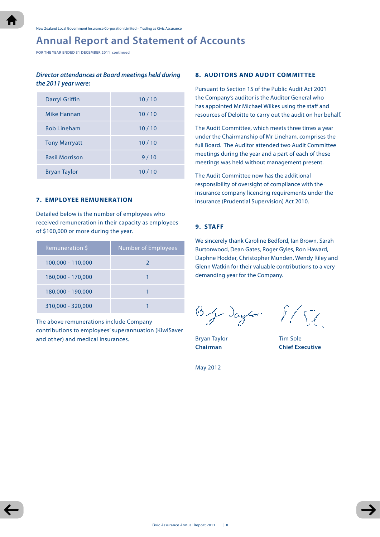**FOR THE YEAR ENDED 31 DECEMBER 2011 continued**

# *Director attendances at Board meetings held during the 2011 year were:*

| <b>Darryl Griffin</b> | 10/10 |
|-----------------------|-------|
| Mike Hannan           | 10/10 |
| <b>Bob Lineham</b>    | 10/10 |
| <b>Tony Marryatt</b>  | 10/10 |
| <b>Basil Morrison</b> | 9/10  |
| <b>Bryan Taylor</b>   | 10/10 |

## **7. EMPLOYEE REMUNERATION**

Detailed below is the number of employees who received remuneration in their capacity as employees of \$100,000 or more during the year.

| Remuneration \$   | <b>Number of Employees</b> |
|-------------------|----------------------------|
| 100,000 - 110,000 |                            |
| 160,000 - 170,000 |                            |
| 180,000 - 190,000 |                            |
| 310,000 - 320,000 |                            |

The above remunerations include Company contributions to employees' superannuation (KiwiSaver and other) and medical insurances.

## **8. AUDITORS AND AUDIT COMMITTEE**

Pursuant to Section 15 of the Public Audit Act 2001 the Company's auditor is the Auditor General who has appointed Mr Michael Wilkes using the staff and resources of Deloitte to carry out the audit on her behalf.

The Audit Committee, which meets three times a year under the Chairmanship of Mr Lineham, comprises the full Board. The Auditor attended two Audit Committee meetings during the year and a part of each of these meetings was held without management present.

The Audit Committee now has the additional responsibility of oversight of compliance with the insurance company licencing requirements under the Insurance (Prudential Supervision) Act 2010.

# **9. STAFF**

May 2012

We sincerely thank Caroline Bedford, Ian Brown, Sarah Burtonwood, Dean Gates, Roger Gyles, Ron Haward, Daphne Hodder, Christopher Munden, Wendy Riley and Glenn Watkin for their valuable contributions to a very demanding year for the Company.

By Dayton Il. S/

Bryan Taylor **Tim Sole Chairman Chief Executive**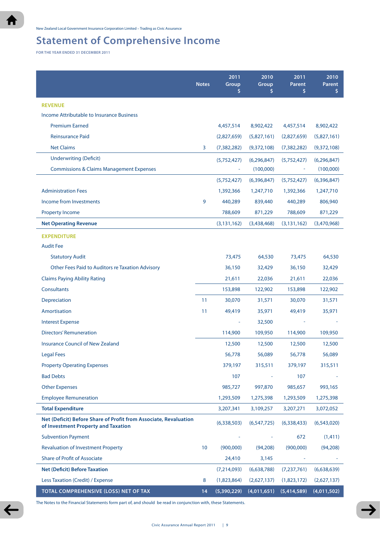# **Statement of Comprehensive Income**

**FOR THE YEAR ENDED 31 DECEMBER 2011**

|                                                                                                         | <b>Notes</b> | 2011<br>Group<br>\$ | 2010<br>Group<br>\$ | 2011<br>Parent<br>\$ | 2010<br>Parent<br>\$ |
|---------------------------------------------------------------------------------------------------------|--------------|---------------------|---------------------|----------------------|----------------------|
| <b>REVENUE</b>                                                                                          |              |                     |                     |                      |                      |
| Income Attributable to Insurance Business                                                               |              |                     |                     |                      |                      |
| <b>Premium Earned</b>                                                                                   |              | 4,457,514           | 8,902,422           | 4,457,514            | 8,902,422            |
| <b>Reinsurance Paid</b>                                                                                 |              | (2,827,659)         | (5,827,161)         | (2,827,659)          | (5,827,161)          |
| <b>Net Claims</b>                                                                                       | 3            | (7, 382, 282)       | (9,372,108)         | (7, 382, 282)        | (9,372,108)          |
| <b>Underwriting (Deficit)</b>                                                                           |              | (5,752,427)         | (6, 296, 847)       | (5,752,427)          | (6, 296, 847)        |
| <b>Commissions &amp; Claims Management Expenses</b>                                                     |              |                     | (100,000)           |                      | (100,000)            |
|                                                                                                         |              | (5,752,427)         | (6,396,847)         | (5,752,427)          | (6,396,847)          |
| <b>Administration Fees</b>                                                                              |              | 1,392,366           | 1,247,710           | 1,392,366            | 1,247,710            |
| Income from Investments                                                                                 | 9            | 440,289             | 839,440             | 440,289              | 806,940              |
| <b>Property Income</b>                                                                                  |              | 788,609             | 871,229             | 788,609              | 871,229              |
| <b>Net Operating Revenue</b>                                                                            |              | (3, 131, 162)       | (3,438,468)         | (3, 131, 162)        | (3,470,968)          |
| <b>EXPENDITURE</b>                                                                                      |              |                     |                     |                      |                      |
| <b>Audit Fee</b>                                                                                        |              |                     |                     |                      |                      |
| <b>Statutory Audit</b>                                                                                  |              | 73,475              | 64,530              | 73,475               | 64,530               |
| Other Fees Paid to Auditors re Taxation Advisory                                                        |              | 36,150              | 32,429              | 36,150               | 32,429               |
| <b>Claims Paying Ability Rating</b>                                                                     |              | 21,611              | 22,036              | 21,611               | 22,036               |
| Consultants                                                                                             |              | 153,898             | 122,902             | 153,898              | 122,902              |
| Depreciation                                                                                            | 11           | 30,070              | 31,571              | 30,070               | 31,571               |
| Amortisation                                                                                            | 11           | 49,419              | 35,971              | 49,419               | 35,971               |
| <b>Interest Expense</b>                                                                                 |              |                     | 32,500              |                      |                      |
| <b>Directors' Remuneration</b>                                                                          |              | 114,900             | 109,950             | 114,900              | 109,950              |
| <b>Insurance Council of New Zealand</b>                                                                 |              | 12,500              | 12,500              | 12,500               | 12,500               |
| <b>Legal Fees</b>                                                                                       |              | 56,778              | 56,089              | 56,778               | 56,089               |
| <b>Property Operating Expenses</b>                                                                      |              | 379,197             | 315,511             | 379,197              | 315,511              |
| <b>Bad Debts</b>                                                                                        |              | 107                 |                     | 107                  |                      |
| <b>Other Expenses</b>                                                                                   |              | 985,727             | 997,870             | 985,657              | 993,165              |
| <b>Employee Remuneration</b>                                                                            |              | 1,293,509           | 1,275,398           | 1,293,509            | 1,275,398            |
| <b>Total Expenditure</b>                                                                                |              | 3,207,341           | 3,109,257           | 3,207,271            | 3,072,052            |
| Net (Deficit) Before Share of Profit from Associate, Revaluation<br>of Investment Property and Taxation |              | (6,338,503)         | (6, 547, 725)       | (6,338,433)          | (6,543,020)          |
| <b>Subvention Payment</b>                                                                               |              |                     |                     | 672                  | (1, 411)             |
| <b>Revaluation of Investment Property</b>                                                               | 10           | (900,000)           | (94, 208)           | (900,000)            | (94, 208)            |
| <b>Share of Profit of Associate</b>                                                                     |              | 24,410              | 3,145               | ÷                    |                      |
| <b>Net (Deficit) Before Taxation</b>                                                                    |              | (7,214,093)         | (6,638,788)         | (7,237,761)          | (6,638,639)          |
| Less Taxation (Credit) / Expense                                                                        | 8            | (1,823,864)         | (2,627,137)         | (1,823,172)          | (2,627,137)          |
| TOTAL COMPREHENSIVE (LOSS) NET OF TAX                                                                   | 14           | (5,390,229)         | (4,011,651)         | (5,414,589)          | (4,011,502)          |

The Notes to the Financial Statements form part of, and should be read in conjunction with, these Statements.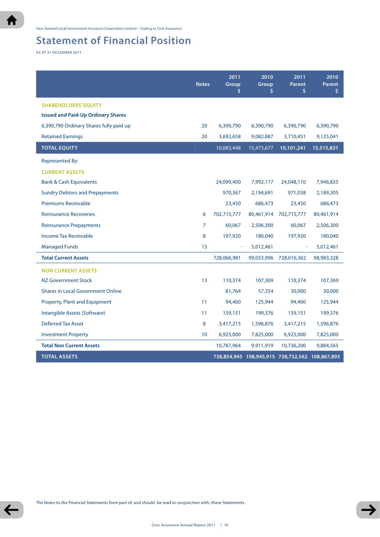# **Statement of Financial Position**

**AS AT 31 December 2011**

|                                           | <b>Notes</b>    | 2011<br>Group<br>\$      | 2010<br>Group<br>\$. | 2011<br>Parent<br>\$.                           | 2010<br>Parent<br>\$ |
|-------------------------------------------|-----------------|--------------------------|----------------------|-------------------------------------------------|----------------------|
| <b>SHAREHOLDERS' EQUITY</b>               |                 |                          |                      |                                                 |                      |
| <b>Issued and Paid-Up Ordinary Shares</b> |                 |                          |                      |                                                 |                      |
| 6,390,790 Ordinary Shares fully paid up   | 20              | 6,390,790                | 6,390,790            | 6,390,790                                       | 6,390,790            |
| <b>Retained Earnings</b>                  | 20              | 3,692,658                | 9,082,887            | 3,710,451                                       | 9,125,041            |
| <b>TOTAL EQUITY</b>                       |                 | 10,083,448               | 15,473,677           | 10,101,241                                      | 15,515,831           |
| <b>Represented By:</b>                    |                 |                          |                      |                                                 |                      |
| <b>CURRENT ASSETS</b>                     |                 |                          |                      |                                                 |                      |
| <b>Bank &amp; Cash Equivalents</b>        |                 | 24,099,400               | 7,992,117            | 24,048,110                                      | 7,946,835            |
| <b>Sundry Debtors and Prepayments</b>     |                 | 970,367                  | 2,194,691            | 971,038                                         | 2,189,305            |
| <b>Premiums Receivable</b>                |                 | 23,450                   | 686,473              | 23,450                                          | 686,473              |
| <b>Reinsurance Recoveries</b>             | 6               | 702,715,777              | 80,461,914           | 702,715,777                                     | 80,461,914           |
| <b>Reinsurance Prepayments</b>            | 7               | 60,067                   | 2,506,300            | 60,067                                          | 2,506,300            |
| Income Tax Receivable                     | 8               | 197,920                  | 180,040              | 197,920                                         | 180,040              |
| <b>Managed Funds</b>                      | 13              | $\overline{\phantom{a}}$ | 5,012,461            | ÷                                               | 5,012,461            |
| <b>Total Current Assets</b>               |                 | 728,066,981              |                      | 99,033,996 728,016,362                          | 98,983,328           |
| <b>NON CURRENT ASSETS</b>                 |                 |                          |                      |                                                 |                      |
| <b>NZ Government Stock</b>                | 13              | 110,374                  | 107,369              | 110,374                                         | 107,369              |
| <b>Shares in Local Government Online</b>  |                 | 81,764                   | 57,354               | 30,000                                          | 30,000               |
| Property, Plant and Equipment             | 11              | 94,460                   | 125,944              | 94,460                                          | 125,944              |
| Intangible Assets (Software)              | 11              | 159,151                  | 199,376              | 159,151                                         | 199,376              |
| <b>Deferred Tax Asset</b>                 | 8               | 3,417,215                | 1,596,876            | 3,417,215                                       | 1,596,876            |
| <b>Investment Property</b>                | 10 <sup>°</sup> | 6,925,000                | 7,825,000            | 6,925,000                                       | 7,825,000            |
| <b>Total Non Current Assets</b>           |                 | 10,787,964               | 9,911,919            | 10,736,200                                      | 9,884,565            |
| <b>TOTAL ASSETS</b>                       |                 |                          |                      | 738,854,945 108,945,915 738,752,562 108,867,893 |                      |

The Notes to the Financial Statements form part of, and should be read in conjunction with, these Statements.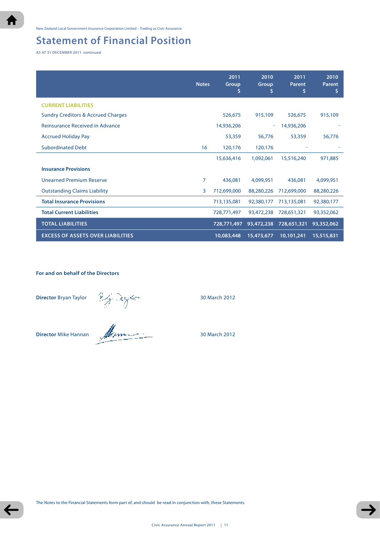# **Statement of Financial Position**

**AS AT 31 December 2011 continued**

|                                               | <b>Notes</b> | 2011<br>Group | 2010<br>Group<br>S       | 2011<br>Parent<br>S | 2010<br>Parent<br>S |
|-----------------------------------------------|--------------|---------------|--------------------------|---------------------|---------------------|
| <b>CURRENT LIABILITIES</b>                    |              |               |                          |                     |                     |
| <b>Sundry Creditors &amp; Accrued Charges</b> |              | 526,675       | 915,109                  | 526,675             | 915,109             |
| Reinsurance Received in Advance               |              | 14,936,206    | $\overline{\phantom{a}}$ | 14,936,206          |                     |
| <b>Accrued Holiday Pay</b>                    |              | 53,359        | 56,776                   | 53,359              | 56,776              |
| <b>Subordinated Debt</b>                      | 16           | 120,176       | 120,176                  |                     |                     |
|                                               |              | 15,636,416    | 1,092,061                | 15,516,240          | 971.885             |
| <b>Insurance Provisions</b>                   |              |               |                          |                     |                     |
| <b>Unearned Premium Reserve</b>               | 7            | 436,081       | 4,099,951                | 436,081             | 4,099,951           |
| <b>Outstanding Claims Liability</b>           | 3            | 712,699,000   | 88,280,226               | 712,699,000         | 88,280,226          |
| <b>Total Insurance Provisions</b>             |              | 713,135,081   | 92,380,177               | 713,135,081         | 92,380,177          |
| <b>Total Current Liabilities</b>              |              | 728,771,497   | 93,472,238               | 728,651,321         | 93,352,062          |
| <b>TOTAL LIABILITIES</b>                      |              | 728,771,497   | 93,472,238               | 728,651,321         | 93,352,062          |
| <b>EXCESS OF ASSETS OVER LIABILITIES</b>      |              | 10,083,448    | 15,473,677               | 10,101,241          | 15,515,831          |

**For and on behalf of the Directors**

**Director** Bryan Taylor 30 March 2012

**Director** Mike Hannan 30 March 2012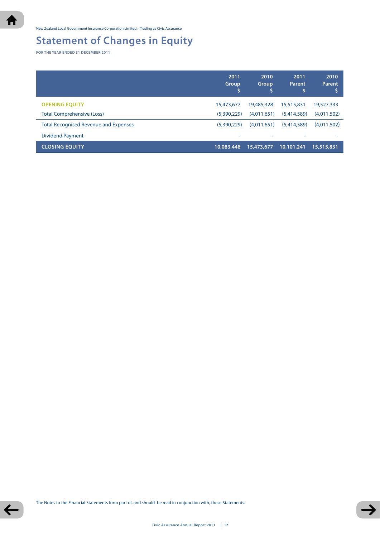# **Statement of Changes in Equity**

**FOR THE YEAR ENDED 31 DECEMBER 2011**

|                                              | 2011<br>Group<br>S | 2010<br>Group | 2011<br><b>Parent</b><br>'S | 2010<br>Parent |
|----------------------------------------------|--------------------|---------------|-----------------------------|----------------|
| <b>OPENING EQUITY</b>                        | 15,473,677         | 19,485,328    | 15,515,831                  | 19,527,333     |
| <b>Total Comprehensive (Loss)</b>            | (5,390,229)        | (4,011,651)   | (5,414,589)                 | (4,011,502)    |
| <b>Total Recognised Revenue and Expenses</b> | (5,390,229)        | (4,011,651)   | (5,414,589)                 | (4,011,502)    |
| <b>Dividend Payment</b>                      | ٠                  | ٠             | ٠                           |                |
| <b>CLOSING EQUITY</b>                        | 10,083,448         | 15,473,677    | 10,101,241                  | 15,515,831     |

The Notes to the Financial Statements form part of, and should be read in conjunction with, these Statements.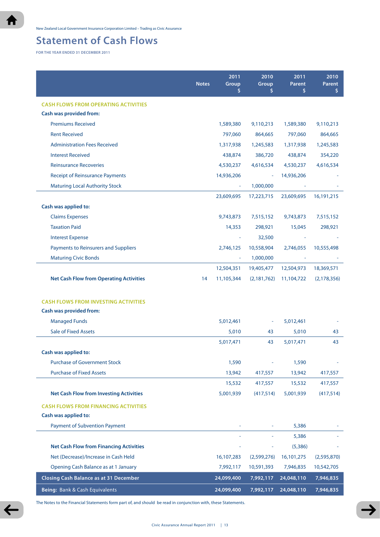# **Statement of Cash Flows**

**FOR THE YEAR ENDED 31 DECEMBER 2011**

|                                                | <b>Notes</b> | 2011<br>Group<br>\$ | 2010<br>Group<br>\$ | 2011<br>Parent<br>\$. | 2010<br>Parent<br>\$ |
|------------------------------------------------|--------------|---------------------|---------------------|-----------------------|----------------------|
| <b>CASH FLOWS FROM OPERATING ACTIVITIES</b>    |              |                     |                     |                       |                      |
| Cash was provided from:                        |              |                     |                     |                       |                      |
| <b>Premiums Received</b>                       |              | 1,589,380           | 9,110,213           | 1,589,380             | 9,110,213            |
| <b>Rent Received</b>                           |              | 797,060             | 864,665             | 797,060               | 864,665              |
| <b>Administration Fees Received</b>            |              | 1,317,938           | 1,245,583           | 1,317,938             | 1,245,583            |
| <b>Interest Received</b>                       |              | 438,874             | 386,720             | 438,874               | 354,220              |
| <b>Reinsurance Recoveries</b>                  |              | 4,530,237           | 4,616,534           | 4,530,237             | 4,616,534            |
| <b>Receipt of Reinsurance Payments</b>         |              | 14,936,206          |                     | 14,936,206            |                      |
| <b>Maturing Local Authority Stock</b>          |              |                     | 1,000,000           |                       |                      |
|                                                |              | 23,609,695          | 17,223,715          | 23,609,695            | 16,191,215           |
| Cash was applied to:                           |              |                     |                     |                       |                      |
| <b>Claims Expenses</b>                         |              | 9,743,873           | 7,515,152           | 9,743,873             | 7,515,152            |
| <b>Taxation Paid</b>                           |              | 14,353              | 298,921             | 15,045                | 298,921              |
| <b>Interest Expense</b>                        |              |                     | 32,500              |                       |                      |
| <b>Payments to Reinsurers and Suppliers</b>    |              | 2,746,125           | 10,558,904          | 2,746,055             | 10,555,498           |
| <b>Maturing Civic Bonds</b>                    |              | $\blacksquare$      | 1,000,000           |                       |                      |
|                                                |              | 12,504,351          | 19,405,477          | 12,504,973            | 18,369,571           |
| <b>Net Cash Flow from Operating Activities</b> | 14           | 11,105,344          | (2,181,762)         | 11,104,722            | (2, 178, 356)        |
| <b>CASH FLOWS FROM INVESTING ACTIVITIES</b>    |              |                     |                     |                       |                      |
| Cash was provided from:                        |              |                     |                     |                       |                      |
| <b>Managed Funds</b>                           |              | 5,012,461           |                     | 5,012,461             |                      |
| <b>Sale of Fixed Assets</b>                    |              | 5,010               | 43                  | 5,010                 | 43                   |
|                                                |              | 5,017,471           | 43                  | 5,017,471             | 43                   |
| Cash was applied to:                           |              |                     |                     |                       |                      |
| <b>Purchase of Government Stock</b>            |              | 1,590               | $\blacksquare$      | 1,590                 |                      |
| <b>Purchase of Fixed Assets</b>                |              | 13,942              | 417,557             | 13,942                | 417,557              |
|                                                |              | 15,532              | 417,557             | 15,532                | 417,557              |
| <b>Net Cash Flow from Investing Activities</b> |              | 5,001,939           | (417,514)           | 5,001,939             | (417,514)            |
| <b>CASH FLOWS FROM FINANCING ACTIVITIES</b>    |              |                     |                     |                       |                      |
| Cash was applied to:                           |              |                     |                     |                       |                      |
| <b>Payment of Subvention Payment</b>           |              |                     |                     | 5,386                 |                      |
|                                                |              |                     |                     | 5,386                 |                      |
| <b>Net Cash Flow from Financing Activities</b> |              |                     |                     | (5,386)               |                      |
| Net (Decrease)/Increase in Cash Held           |              | 16,107,283          | (2,599,276)         | 16,101,275            | (2,595,870)          |
| Opening Cash Balance as at 1 January           |              | 7,992,117           | 10,591,393          | 7,946,835             | 10,542,705           |
| <b>Closing Cash Balance as at 31 December</b>  |              | 24,099,400          | 7,992,117           | 24,048,110            | 7,946,835            |
| Being: Bank & Cash Equivalents                 |              | 24,099,400          | 7,992,117           | 24,048,110            | 7,946,835            |

The Notes to the Financial Statements form part of, and should be read in conjunction with, these Statements.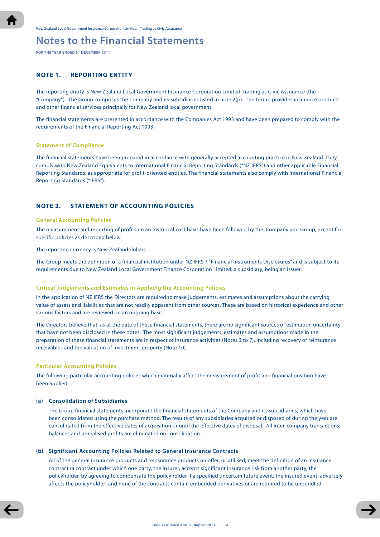**FOR THE YEAR ENDED 31 DECEMBER 2011**

# **NOTE 1. REPORTING ENTITY**

The reporting entity is New Zealand Local Government Insurance Corporation Limited, trading as Civic Assurance (the "Company"). The Group comprises the Company and its subsidiaries listed in note 2(p). The Group provides insurance products and other financial services principally for New Zealand local government.

The financial statements are presented in accordance with the Companies Act 1993 and have been prepared to comply with the requirements of the Financial Reporting Act 1993.

#### **Statement of Compliance**

The financial statements have been prepared in accordance with generally accepted accounting practice in New Zealand. They comply with New Zealand Equivalents to International Financial Reporting Standards ("NZ IFRS") and other applicable Financial Reporting Standards, as appropriate for profit-oriented entities. The financial statements also comply with International Financial Reporting Standards ("IFRS").

## **NOTE 2. STATEMENT OF ACCOUNTING POLICIES**

#### **General Accounting Policies**

The measurement and reporting of profits on an historical cost basis have been followed by the Company and Group, except for specific policies as described below.

The reporting currency is New Zealand dollars.

The Group meets the definition of a financial institution under NZ IFRS 7 "Financial Instruments Disclosures" and is subject to its requirements due to New Zealand Local Government Finance Corporation Limited, a subsidiary, being an issuer.

#### **Critical Judgements and Estimates in Applying the Accounting Policies**

In the application of NZ IFRS the Directors are required to make judgements, estimates and assumptions about the carrying value of assets and liabilities that are not readily apparent from other sources. These are based on historical experience and other various factors and are reviewed on an ongoing basis.

The Directors believe that, as at the date of these financial statements, there are no significant sources of estimation uncertainty that have not been disclosed in these notes. The most significant judgements, estimates and assumptions made in the preparation of these financial statements are in respect of insurance activities (Notes 3 to 7), including recovery of reinsurance receivables and the valuation of investment property (Note 10).

#### **Particular Accounting Policies**

The following particular accounting policies which materially affect the measurement of profit and financial position have been applied.

#### **(a) Consolidation of Subsidiaries**

The Group financial statements incorporate the financial statements of the Company and its subsidiaries, which have been consolidated using the purchase method. The results of any subsidiaries acquired or disposed of during the year are consolidated from the effective dates of acquisition or until the effective dates of disposal. All inter-company transactions, balances and unrealised profits are eliminated on consolidation.

#### **(b) Significant Accounting Policies Related to General Insurance Contracts**

All of the general insurance products and reinsurance products on offer, or utilised, meet the definition of an insurance contract (a contract under which one party, the insurer, accepts significant insurance risk from another party, the policyholder, by agreeing to compensate the policyholder if a specified uncertain future event, the insured event, adversely affects the policyholder) and none of the contracts contain embedded derivatives or are required to be unbundled.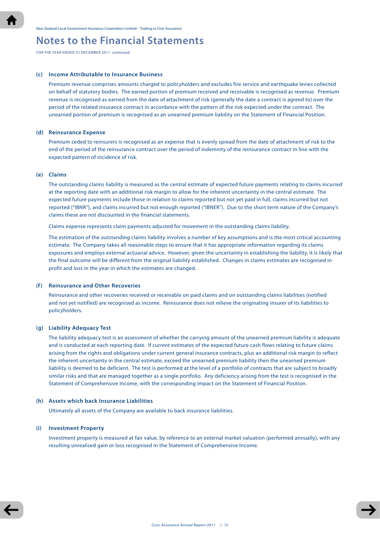**FOR THE YEAR ENDED 31 DECEMBER 2011 continued**

#### **(c) Income Attributable to Insurance Business**

Premium revenue comprises amounts charged to policyholders and excludes fire service and earthquake levies collected on behalf of statutory bodies. The earned portion of premium received and receivable is recognised as revenue. Premium revenue is recognised as earned from the date of attachment of risk (generally the date a contract is agreed to) over the period of the related insurance contract in accordance with the pattern of the risk expected under the contract. The unearned portion of premium is recognised as an unearned premium liability on the Statement of Financial Position.

#### **(d) Reinsurance Expense**

Premium ceded to reinsurers is recognised as an expense that is evenly spread from the date of attachment of risk to the end of the period of the reinsurance contract over the period of indemnity of the reinsurance contract in line with the expected pattern of incidence of risk.

#### **(e) Claims**

The outstanding claims liability is measured as the central estimate of expected future payments relating to claims incurred at the reporting date with an additional risk margin to allow for the inherent uncertainty in the central estimate. The expected future payments include those in relation to claims reported but not yet paid in full, claims incurred but not reported ("IBNR"), and claims incurred but not enough reported ("IBNER"). Due to the short term nature of the Company's claims these are not discounted in the financial statements.

Claims expense represents claim payments adjusted for movement in the outstanding claims liability.

The estimation of the outstanding claims liability involves a number of key assumptions and is the most critical accounting estimate. The Company takes all reasonable steps to ensure that it has appropriate information regarding its claims exposures and employs external actuarial advice. However, given the uncertainty in establishing the liability, it is likely that the final outcome will be different from the original liability established. Changes in claims estimates are recognised in profit and loss in the year in which the estimates are changed.

#### **(f) Reinsurance and Other Recoveries**

Reinsurance and other recoveries received or receivable on paid claims and on outstanding claims liabilities (notified and not yet notified) are recognised as income. Reinsurance does not relieve the originating insurer of its liabilities to policyholders.

#### **(g) Liability Adequacy Test**

The liability adequacy test is an assessment of whether the carrying amount of the unearned premium liability is adequate and is conducted at each reporting date. If current estimates of the expected future cash flows relating to future claims arising from the rights and obligations under current general insurance contracts, plus an additional risk margin to reflect the inherent uncertainty in the central estimate, exceed the unearned premium liability then the unearned premium liability is deemed to be deficient. The test is performed at the level of a portfolio of contracts that are subject to broadly similar risks and that are managed together as a single portfolio. Any deficiency arising from the test is recognised in the Statement of Comprehensive Income, with the corresponding impact on the Statement of Financial Position.

#### **(h) Assets which back Insurance Liabilities**

Ultimately all assets of the Company are available to back insurance liabilities.

#### **(i) Investment Property**

Investment property is measured at fair value, by reference to an external market valuation (performed annually), with any resulting unrealised gain or loss recognised in the Statement of Comprehensive Income.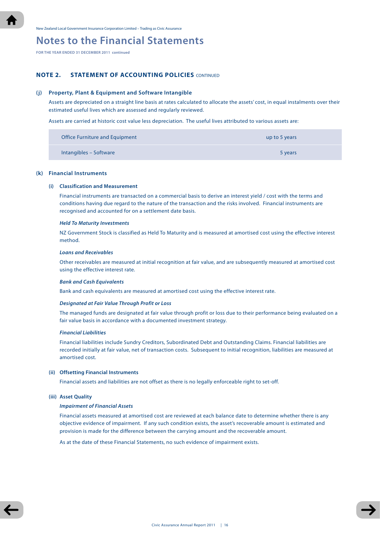**FOR THE YEAR ENDED 31 DECEMBER 2011 continued**

# **NOTE 2. STATEMENT OF ACCOUNTING POLICIES** continued

#### **(j) Property, Plant & Equipment and Software Intangible**

Assets are depreciated on a straight line basis at rates calculated to allocate the assets' cost, in equal instalments over their estimated useful lives which are assessed and regularly reviewed.

Assets are carried at historic cost value less depreciation. The useful lives attributed to various assets are:

| <b>Office Furniture and Equipment</b> | up to 5 years |
|---------------------------------------|---------------|
| Intangibles - Software                | 5 years       |

#### **(k) Financial Instruments**

#### **(i) Classification and Measurement**

 Financial instruments are transacted on a commercial basis to derive an interest yield / cost with the terms and conditions having due regard to the nature of the transaction and the risks involved. Financial instruments are recognised and accounted for on a settlement date basis.

#### *Held To Maturity Investments*

NZ Government Stock is classified as Held To Maturity and is measured at amortised cost using the effective interest method.

#### *Loans and Receivables*

Other receivables are measured at initial recognition at fair value, and are subsequently measured at amortised cost using the effective interest rate.

#### *Bank and Cash Equivalents*

Bank and cash equivalents are measured at amortised cost using the effective interest rate.

#### *Designated at Fair Value Through Profit or Loss*

 The managed funds are designated at fair value through profit or loss due to their performance being evaluated on a fair value basis in accordance with a documented investment strategy.

#### *Financial Liabilities*

 Financial liabilities include Sundry Creditors, Subordinated Debt and Outstanding Claims. Financial liabilities are recorded initially at fair value, net of transaction costs. Subsequent to initial recognition, liabilities are measured at amortised cost.

#### **(ii) Offsetting Financial Instruments**

Financial assets and liabilities are not offset as there is no legally enforceable right to set-off.

#### **(iii) Asset Quality**

#### *Impairment of Financial Assets*

Financial assets measured at amortised cost are reviewed at each balance date to determine whether there is any objective evidence of impairment. If any such condition exists, the asset's recoverable amount is estimated and provision is made for the difference between the carrying amount and the recoverable amount.

As at the date of these Financial Statements, no such evidence of impairment exists.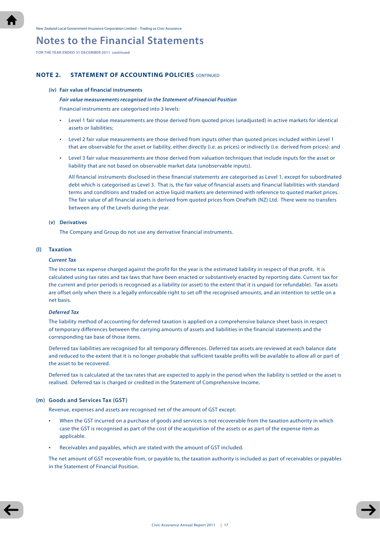**FOR THE YEAR ENDED 31 DECEMBER 2011 continued**

# **NOTE 2. STATEMENT OF ACCOUNTING POLICIES** continued

#### **(iv) Fair value of financial instruments**

 *Fair value measurements recognised in the Statement of Financial Position*

Financial instruments are categorised into 3 levels:

- Level 1 fair value measurements are those derived from quoted prices (unadjusted) in active markets for identical assets or liabilities;
- Level 2 fair value measurements are those derived from inputs other than quoted prices included within Level 1 that are observable for the asset or liability, either directly (i.e. as prices) or indirectly (i.e. derived from prices): and
- Level 3 fair value measurements are those derived from valuation techniques that include inputs for the asset or liability that are not based on observable market data (unobservable inputs).

All financial instruments disclosed in these financial statements are categorised as Level 1, except for subordinated debt which is categorised as Level 3. That is, the fair value of financial assets and financial liabilities with standard terms and conditions and traded on active liquid markets are determined with reference to quoted market prices. The fair value of all financial assets is derived from quoted prices from OnePath (NZ) Ltd. There were no transfers between any of the Levels during the year.

#### **(v) Derivatives**

The Company and Group do not use any derivative financial instruments.

# **(l) Taxation**

#### *Current Tax*

The income tax expense charged against the profit for the year is the estimated liability in respect of that profit. It is calculated using tax rates and tax laws that have been enacted or substantively enacted by reporting date. Current tax for the current and prior periods is recognised as a liability (or asset) to the extent that it is unpaid (or refundable). Tax assets are offset only when there is a legally enforceable right to set off the recognised amounts, and an intention to settle on a net basis.

## *Deferred Tax*

The liability method of accounting for deferred taxation is applied on a comprehensive balance sheet basis in respect of temporary differences between the carrying amounts of assets and liabilities in the financial statements and the corresponding tax base of those items.

Deferred tax liabilities are recognised for all temporary differences. Deferred tax assets are reviewed at each balance date and reduced to the extent that it is no longer probable that sufficient taxable profits will be available to allow all or part of the asset to be recovered.

Deferred tax is calculated at the tax rates that are expected to apply in the period when the liability is settled or the asset is realised. Deferred tax is charged or credited in the Statement of Comprehensive Income.

#### **(m) Goods and Services Tax (GST)**

Revenue, expenses and assets are recognised net of the amount of GST except:

- When the GST incurred on a purchase of goods and services is not recoverable from the taxation authority in which case the GST is recognised as part of the cost of the acquisition of the assets or as part of the expense item as applicable.
- Receivables and payables, which are stated with the amount of GST included.

The net amount of GST recoverable from, or payable to, the taxation authority is included as part of receivables or payables in the Statement of Financial Position.

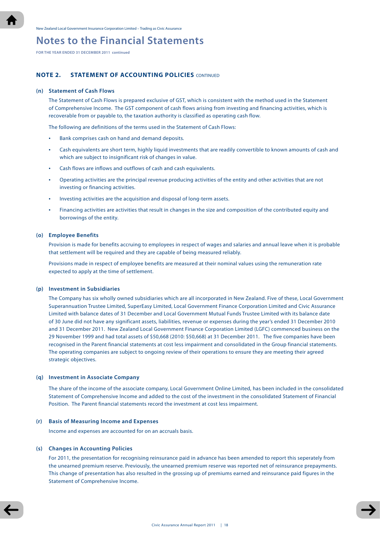**FOR THE YEAR ENDED 31 DECEMBER 2011 continued**

# **NOTE 2. STATEMENT OF ACCOUNTING POLICIES** continued

#### **(n) Statement of Cash Flows**

The Statement of Cash Flows is prepared exclusive of GST, which is consistent with the method used in the Statement of Comprehensive Income. The GST component of cash flows arising from investing and financing activities, which is recoverable from or payable to, the taxation authority is classified as operating cash flow.

The following are definitions of the terms used in the Statement of Cash Flows:

- Bank comprises cash on hand and demand deposits.
- Cash equivalents are short term, highly liquid investments that are readily convertible to known amounts of cash and which are subject to insignificant risk of changes in value.
- Cash flows are inflows and outflows of cash and cash equivalents.
- Operating activities are the principal revenue producing activities of the entity and other activities that are not investing or financing activities.
- Investing activities are the acquisition and disposal of long-term assets.
- Financing activities are activities that result in changes in the size and composition of the contributed equity and borrowings of the entity.

#### **(o) Employee Benefits**

Provision is made for benefits accruing to employees in respect of wages and salaries and annual leave when it is probable that settlement will be required and they are capable of being measured reliably.

Provisions made in respect of employee benefits are measured at their nominal values using the remuneration rate expected to apply at the time of settlement.

#### **(p) Investment in Subsidiaries**

The Company has six wholly owned subsidiaries which are all incorporated in New Zealand. Five of these, Local Government Superannuation Trustee Limited, SuperEasy Limited, Local Government Finance Corporation Limited and Civic Assurance Limited with balance dates of 31 December and Local Government Mutual Funds Trustee Limited with its balance date of 30 June did not have any significant assets, liabilities, revenue or expenses during the year's ended 31 December 2010 and 31 December 2011. New Zealand Local Government Finance Corporation Limited (LGFC) commenced business on the 29 November 1999 and had total assets of \$50,668 (2010: \$50,668) at 31 December 2011. The five companies have been recognised in the Parent financial statements at cost less impairment and consolidated in the Group financial statements. The operating companies are subject to ongoing review of their operations to ensure they are meeting their agreed strategic objectives.

#### **(q) Investment in Associate Company**

The share of the income of the associate company, Local Government Online Limited, has been included in the consolidated Statement of Comprehensive Income and added to the cost of the investment in the consolidated Statement of Financial Position. The Parent financial statements record the investment at cost less impairment.

#### **(r) Basis of Measuring Income and Expenses**

Income and expenses are accounted for on an accruals basis.

#### **(s) Changes in Accounting Policies**

For 2011, the presentation for recognising reinsurance paid in advance has been amended to report this seperately from the unearned premium reserve. Previously, the unearned premium reserve was reported net of reinsurance prepayments. This change of presentation has also resulted in the grossing up of premiums earned and reinsurance paid figures in the Statement of Comprehensive Income.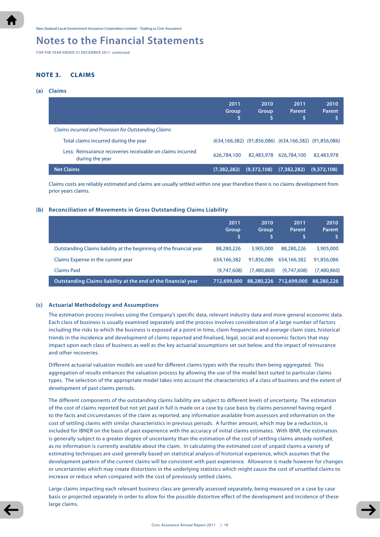**FOR THE YEAR ENDED 31 DECEMBER 2011 continued**

# **NOTE 3. CLAIMS**

#### **(a) Claims**

|                                                                               | 2011<br>Group<br>'S | 2010<br>Group | 2011<br>Parent                                                        | 2010<br>Parent |
|-------------------------------------------------------------------------------|---------------------|---------------|-----------------------------------------------------------------------|----------------|
| Claims incurred and Provision for Outstanding Claims                          |                     |               |                                                                       |                |
| Total claims incurred during the year                                         |                     |               | $(634, 166, 382)$ $(91, 856, 086)$ $(634, 166, 382)$ $(91, 856, 086)$ |                |
| Less: Reinsurance recoveries receivable on claims incurred<br>during the year | 626,784,100         | 82,483,978    | 626,784,100                                                           | 82,483,978     |
| <b>Net Claims</b>                                                             | (7, 382, 282)       | (9.372.108)   | (7, 382, 282)                                                         | (9,372,108)    |

Claims costs are reliably estimated and claims are usually settled within one year therefore there is no claims development from prior years claims.

#### **(b) Reconciliation of Movements in Gross Outstanding Claims Liability**

|                                                                     | 2011<br>Group | 2010<br>Group | 2011<br><b>Parent</b> | 2010<br><b>Parent</b> |
|---------------------------------------------------------------------|---------------|---------------|-----------------------|-----------------------|
| Outstanding Claims liability at the beginning of the financial year | 88,280,226    | 3,905,000     | 88,280,226            | 3,905,000             |
| Claims Expense in the current year                                  | 634,166,382   | 91,856,086    | 634,166,382           | 91,856,086            |
| <b>Claims Paid</b>                                                  | (9.747.608)   | (7,480,860)   | (9,747,608)           | (7,480,860)           |
| Outstanding Claims liability at the end of the financial year       | 712.699.000   | 88,280,226    | 712,699,000           | 88,280,226            |

#### **(c) Actuarial Methodology and Assumptions**

The estimation process involves using the Company's specific data, relevant industry data and more general economic data. Each class of business is usually examined separately and the process involves consideration of a large number of factors including the risks to which the business is exposed at a point in time, claim frequencies and average claim sizes, historical trends in the incidence and development of claims reported and finalised, legal, social and economic factors that may impact upon each class of business as well as the key actuarial assumptions set out below, and the impact of reinsurance and other recoveries.

Different actuarial valuation models are used for different claims types with the results then being aggregated. This aggregation of results enhances the valuation process by allowing the use of the model best suited to particular claims types. The selection of the appropriate model takes into account the characteristics of a class of business and the extent of development of past claims periods.

The different components of the outstanding claims liability are subject to different levels of uncertainty. The estimation of the cost of claims reported but not yet paid in full is made on a case by case basis by claims personnel having regard to the facts and circumstances of the claim as reported, any information available from assessors and information on the cost of settling claims with similar characteristics in previous periods. A further amount, which may be a reduction, is included for IBNER on the basis of past experience with the accuracy of initial claims estimates. With IBNR, the estimation is generally subject to a greater degree of uncertainty than the estimation of the cost of settling claims already notified, as no information is currently available about the claim. In calculating the estimated cost of unpaid claims a variety of estimating techniques are used generally based on statistical analysis of historical experience, which assumes that the development pattern of the current claims will be consistent with past experience. Allowance is made however for changes or uncertainties which may create distortions in the underlying statistics which might cause the cost of unsettled claims to increase or reduce when compared with the cost of previously settled claims.

Large claims impacting each relevant business class are generally assessed separately, being measured on a case by case basis or projected separately in order to allow for the possible distortive effect of the development and incidence of these large claims.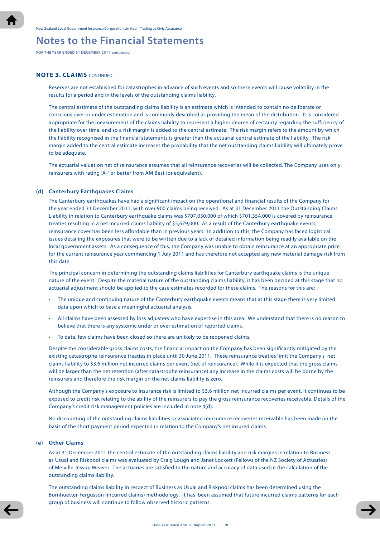**FOR THE YEAR ENDED 31 DECEMBER 2011 continued**

## **NOTE 3. CLAIMS** continued

Reserves are not established for catastrophes in advance of such events and so these events will cause volatility in the results for a period and in the levels of the outstanding claims liability.

The central estimate of the outstanding claims liability is an estimate which is intended to contain no deliberate or conscious over or under estimation and is commonly described as providing the mean of the distribution. It is considered appropriate for the measurement of the claims liability to represent a higher degree of certainty regarding the sufficiency of the liability over time, and so a risk margin is added to the central estimate. The risk margin refers to the amount by which the liability recognised in the financial statements is greater than the actuarial central estimate of the liability. The risk margin added to the central estimate increases the probability that the net outstanding claims liability will ultimately prove to be adequate.

The actuarial valuation net of reinsurance assumes that all reinsurance recoveries will be collected. The Company uses only reinsurers with rating "A-" or better from AM Best (or equivalent).

#### **(d) Canterbury Earthquakes Claims**

The Canterbury earthquakes have had a significant impact on the operational and financial results of the Company for the year ended 31 December 2011, with over 900 claims being received. As at 31 December 2011 the Outstanding Claims Liability in relation to Canterbury earthquake claims was \$707,030,000 of which \$701,354,000 is covered by reinsurance treaties resulting in a net incurred claims liability of \$5,679,000. As a result of the Canterbury earthquake events, reinsurance cover has been less affordable than in previous years. In addition to this, the Company has faced logistical issues detailing the exposures that were to be written due to a lack of detailed information being readily available on the local government assets. As a consequence of this, the Company was unable to obtain reinsurance at an appropriate price for the current reinsurance year commencing 1 July 2011 and has therefore not accepted any new material damage risk from this date.

The principal concern in determining the outstanding claims liabilities for Canterbury earthquake claims is the unique nature of the event. Despite the material nature of the outstanding claims liability, it has been decided at this stage that no actuarial adjustment should be applied to the case estimates recorded for these claims. The reasons for this are:

- The unique and continuing nature of the Canterbury earthquake events means that at this stage there is very limited data upon which to base a meaningful actuarial analysis.
- All claims have been assessed by loss adjusters who have expertise in this area. We understand that there is no reason to believe that there is any systemic under or over estimation of reported claims.
- To date, few claims have been closed so there are unlikely to be reopened claims.

Despite the considerable gross claims costs, the financial impact on the Company has been significantly mitigated by the existing catastrophe reinsurance treaties in place until 30 June 2011. These reinsurance treaties limit the Company's net claims liability to \$3.6 million net incurred claims per event (net of reinsurance). While it is expected that the gross claims will be larger than the net retention (after catastrophe reinsurance) any increase in the claims costs will be borne by the reinsurers and therefore the risk margin on the net claims liability is zero.

Although the Company's exposure to insurance risk is limited to \$3.6 million net incurred claims per event, it continues to be exposed to credit risk relating to the ability of the reinsurers to pay the gross reinsurance recoveries receivable. Details of the Company's credit risk management policies are included in note 4(d).

No discounting of the outstanding claims liabilities or associated reinsurance recoveries receivable has been made on the basis of the short payment period expected in relation to the Company's net insured claims.

## **(e) Other Claims**

As at 31 December 2011 the central estimate of the outstanding claims liability and risk margins in relation to Business as Usual and Riskpool claims was evaluated by Craig Lough and Janet Lockett (Fellows of the NZ Society of Actuaries) of Melville Jessup Weaver. The actuaries are satisfied to the nature and accuracy of data used in the calculation of the outstanding claims liability.

The outstanding claims liability in respect of Business as Usual and Riskpool claims has been determined using the Bornhuetter-Fergusson (incurred claims) methodology. It has been assumed that future incurred claims patterns for each group of business will continue to follow observed historic patterns.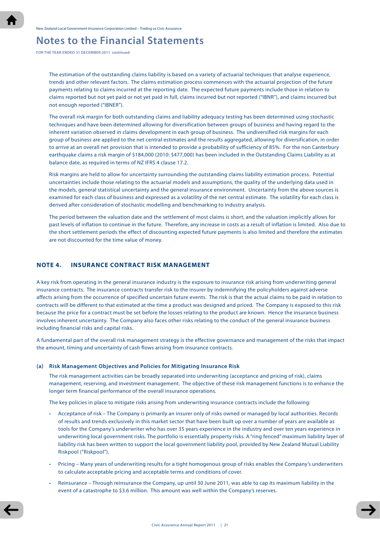**FOR THE YEAR ENDED 31 DECEMBER 2011 continued**

The estimation of the outstanding claims liability is based on a variety of actuarial techniques that analyse experience, trends and other relevant factors. The claims estimation process commences with the actuarial projection of the future payments relating to claims incurred at the reporting date. The expected future payments include those in relation to claims reported but not yet paid or not yet paid in full, claims incurred but not reported ("IBNR"), and claims incurred but not enough reported ("IBNER").

The overall risk margin for both outstanding claims and liability adequacy testing has been determined using stochastic techniques and have been determined allowing for diversification between groups of business and having regard to the inherent variation observed in claims development in each group of business. The undiversified risk margins for each group of business are applied to the net central estimates and the results aggregated, allowing for diversification, in order to arrive at an overall net provision that is intended to provide a probability of sufficiency of 85%. For the non Canterbury earthquake claims a risk margin of \$184,000 (2010: \$477,000) has been included in the Outstanding Claims Liability as at balance date, as required in terms of NZ IFRS 4 clause 17.2.

Risk margins are held to allow for uncertainty surrounding the outstanding claims liability estimation process. Potential uncertainties include those relating to the actuarial models and assumptions, the quality of the underlying data used in the models, general statistical uncertainty and the general insurance environment. Uncertainty from the above sources is examined for each class of business and expressed as a volatility of the net central estimate. The volatility for each class is derived after consideration of stochastic modelling and benchmarking to industry analysis.

The period between the valuation date and the settlement of most claims is short, and the valuation implicitly allows for past levels of inflation to continue in the future. Therefore, any increase in costs as a result of inflation is limited. Also due to the short settlement periods the effect of discounting expected future payments is also limited and therefore the estimates are not discounted for the time value of money.

## **NOTE 4. INSURANCE CONTRACT RISK MANAGEMENT**

A key risk from operating in the general insurance industry is the exposure to insurance risk arising from underwriting general insurance contracts. The insurance contracts transfer risk to the insurer by indemnifying the policyholders against adverse affects arising from the occurrence of specified uncertain future events. The risk is that the actual claims to be paid in relation to contracts will be different to that estimated at the time a product was designed and priced. The Company is exposed to this risk because the price for a contract must be set before the losses relating to the product are known. Hence the insurance business involves inherent uncertainty. The Company also faces other risks relating to the conduct of the general insurance business including financial risks and capital risks.

A fundamental part of the overall risk management strategy is the effective governance and management of the risks that impact the amount, timing and uncertainty of cash flows arising from insurance contracts.

#### **(a) Risk Management Objectives and Policies for Mitigating Insurance Risk**

The risk management activities can be broadly separated into underwriting (acceptance and pricing of risk), claims management, reserving, and investment management. The objective of these risk management functions is to enhance the longer term financial performance of the overall insurance operations.

The key policies in place to mitigate risks arising from underwriting insurance contracts include the following:

- Acceptance of risk The Company is primarily an insurer only of risks owned or managed by local authorities. Records of results and trends exclusively in this market sector that have been built up over a number of years are available as tools for the Company's underwriter who has over 35 years experience in the industry and over ten years experience in underwriting local government risks. The portfolio is essentially property risks. A "ring fenced" maximum liability layer of liability risk has been written to support the local government liability pool, provided by New Zealand Mutual Liability Riskpool ("Riskpool").
- Pricing Many years of underwriting results for a tight homogenous group of risks enables the Company's underwriters to calculate acceptable pricing and acceptable terms and conditions of cover.
- Reinsurance Through reinsurance the Company, up until 30 June 2011, was able to cap its maximum liability in the event of a catastrophe to \$3.6 million. This amount was well within the Company's reserves.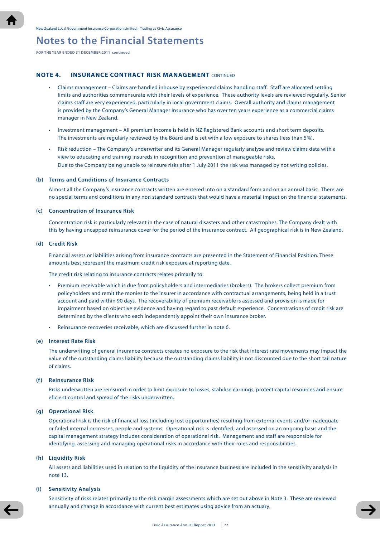**FOR THE YEAR ENDED 31 DECEMBER 2011 continued**

## **NOTE 4. INSURANCE CONTRACT RISK MANAGEMENT** continued

- Claims management Claims are handled inhouse by experienced claims handling staff. Staff are allocated settling limits and authorities commensurate with their levels of experience. These authority levels are reviewed regularly. Senior claims staff are very experienced, particularly in local government claims. Overall authority and claims management is provided by the Company's General Manager Insurance who has over ten years experience as a commercial claims manager in New Zealand.
- Investment management All premium income is held in NZ Registered Bank accounts and short term deposits. The investments are regularly reviewed by the Board and is set with a low exposure to shares (less than 5%).
- Risk reduction The Company's underwriter and its General Manager regularly analyse and review claims data with a view to educating and training insureds in recognition and prevention of manageable risks. Due to the Company being unable to reinsure risks after 1 July 2011 the risk was managed by not writing policies.

#### **(b) Terms and Conditions of Insurance Contracts**

Almost all the Company's insurance contracts written are entered into on a standard form and on an annual basis. There are no special terms and conditions in any non standard contracts that would have a material impact on the financial statements.

#### **(c) Concentration of Insurance Risk**

 Concentration risk is particularly relevant in the case of natural disasters and other catastrophes. The Company dealt with this by having uncapped reinsurance cover for the period of the insurance contract. All geographical risk is in New Zealand.

#### **(d) Credit Risk**

Financial assets or liabilities arising from insurance contracts are presented in the Statement of Financial Position. These amounts best represent the maximum credit risk exposure at reporting date.

The credit risk relating to insurance contracts relates primarily to:

- Premium receivable which is due from policyholders and intermediaries (brokers). The brokers collect premium from policyholders and remit the monies to the insurer in accordance with contractual arrangements, being held in a trust account and paid within 90 days. The recoverability of premium receivable is assessed and provision is made for impairment based on objective evidence and having regard to past default experience. Concentrations of credit risk are determined by the clients who each independently appoint their own insurance broker.
- Reinsurance recoveries receivable, which are discussed further in note 6.

#### **(e) Interest Rate Risk**

The underwriting of general insurance contracts creates no exposure to the risk that interest rate movements may impact the value of the outstanding claims liability because the outstanding claims liability is not discounted due to the short tail nature of claims.

# **(f) Reinsurance Risk**

Risks underwritten are reinsured in order to limit exposure to losses, stabilise earnings, protect capital resources and ensure eficient control and spread of the risks underwritten.

#### **(g) Operational Risk**

 Operational risk is the risk of financial loss (including lost opportunities) resulting from external events and/or inadequate or failed internal processes, people and systems. Operational risk is identified, and assessed on an ongoing basis and the capital management strategy includes consideration of operational risk. Management and staff are responsible for identifying, assessing and managing operational risks in accordance with their roles and responsibilities.

#### **(h) Liquidity Risk**

All assets and liabilities used in relation to the liquidity of the insurance business are included in the sensitivity analysis in note 13.

#### **(i) Sensitivity Analysis**

Sensitivity of risks relates primarily to the risk margin assessments which are set out above in Note 3. These are reviewed annually and change in accordance with current best estimates using advice from an actuary.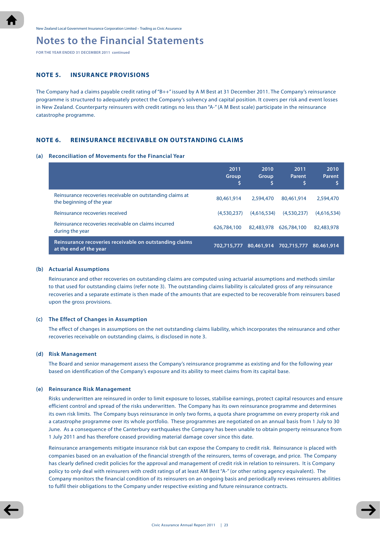**FOR THE YEAR ENDED 31 DECEMBER 2011 continued**

## **NOTE 5. INSURANCE PROVISIONS**

The Company had a claims payable credit rating of "B++" issued by A M Best at 31 December 2011. The Company's reinsurance programme is structured to adequately protect the Company's solvency and capital position. It covers per risk and event losses in New Zealand. Counterparty reinsurers with credit ratings no less than "A-" (A M Best scale) participate in the reinsurance catastrophe programme.

## **NOTE 6. REINSURANCE RECEIVABLE ON OUTSTANDING CLAIMS**

#### **(a) Reconciliation of Movements for the Financial Year**

|                                                                                         | 2011<br>Group<br>\$. | 2010<br><b>Group</b> | 2011<br><b>Parent</b>  | 2010<br>Parent |
|-----------------------------------------------------------------------------------------|----------------------|----------------------|------------------------|----------------|
| Reinsurance recoveries receivable on outstanding claims at<br>the beginning of the year | 80,461,914           | 2,594,470            | 80,461,914             | 2,594,470      |
| Reinsurance recoveries received                                                         | (4.530.237)          | (4,616,534)          | (4.530.237)            | (4,616,534)    |
| Reinsurance recoveries receivable on claims incurred<br>during the year                 | 626,784,100          | 82,483,978           | 626,784,100            | 82,483,978     |
| Reinsurance recoveries receivable on outstanding claims<br>at the end of the year       | 702,715,777          |                      | 80,461,914 702,715,777 | 80,461,914     |

#### **(b) Actuarial Assumptions**

Reinsurance and other recoveries on outstanding claims are computed using actuarial assumptions and methods similar to that used for outstanding claims (refer note 3). The outstanding claims liability is calculated gross of any reinsurance recoveries and a separate estimate is then made of the amounts that are expected to be recoverable from reinsurers based upon the gross provisions.

#### **(c) The Effect of Changes in Assumption**

The effect of changes in assumptions on the net outstanding claims liability, which incorporates the reinsurance and other recoveries receivable on outstanding claims, is disclosed in note 3.

#### **(d) Risk Management**

The Board and senior management assess the Company's reinsurance programme as existing and for the following year based on identification of the Company's exposure and its ability to meet claims from its capital base.

#### **(e) Reinsurance Risk Management**

Risks underwritten are reinsured in order to limit exposure to losses, stabilise earnings, protect capital resources and ensure efficient control and spread of the risks underwritten. The Company has its own reinsurance programme and determines its own risk limits. The Company buys reinsurance in only two forms, a quota share programme on every property risk and a catastrophe programme over its whole portfolio. These programmes are negotiated on an annual basis from 1 July to 30 June. As a consequence of the Canterbury earthquakes the Company has been unable to obtain property reinsurance from 1 July 2011 and has therefore ceased providing material damage cover since this date.

Reinsurance arrangements mitigate insurance risk but can expose the Company to credit risk. Reinsurance is placed with companies based on an evaluation of the financial strength of the reinsurers, terms of coverage, and price. The Company has clearly defined credit policies for the approval and management of credit risk in relation to reinsurers. It is Company policy to only deal with reinsurers with credit ratings of at least AM Best "A-" (or other rating agency equivalent). The Company monitors the financial condition of its reinsurers on an ongoing basis and periodically reviews reinsurers abilities to fulfil their obligations to the Company under respective existing and future reinsurance contracts.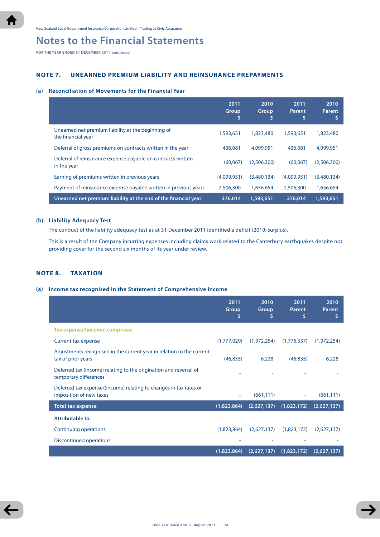**FOR THE YEAR ENDED 31 DECEMBER 2011 continued**

# **NOTE 7. UNEARNED PREMIUM LIABILITY AND REINSURANCE PREPAYMENTS**

## **(a) Reconciliation of Movements for the Financial Year**

|                                                                             | 2011<br>Group<br>S | 2010<br>Group<br>S | 2011<br><b>Parent</b><br>\$ | 2010<br><b>Parent</b><br>s |
|-----------------------------------------------------------------------------|--------------------|--------------------|-----------------------------|----------------------------|
| Unearned net premium liability at the beginning of<br>the financial year    | 1,593,651          | 1,823,480          | 1,593,651                   | 1,823,480                  |
| Deferral of gross premiums on contracts written in the year                 | 436,081            | 4.099.951          | 436,081                     | 4,099,951                  |
| Deferral of reinsurance expense payable on contracts written<br>in the year | (60.067)           | (2.506.300)        | (60.067)                    | (2.506.300)                |
| Earning of premiums written in previous years                               | (4,099,951)        | (3,480,134)        | (4.099.951)                 | (3,480,134)                |
| Payment of reinsurance expense payable written in previous years            | 2,506,300          | 1,656,654          | 2,506,300                   | 1,656,654                  |
| Unearned net premium liability at the end of the financial year             | 376,014            | 1,593,651          | 376,014                     | 1,593,651                  |

## **(b) Liability Adequacy Test**

The conduct of the liability adequacy test as at 31 December 2011 identified a deficit (2010: surplus).

This is a result of the Company incurring expenses including claims work related to the Canterbury earthquakes despite not providing cover for the second six months of its year under review.

# **NOTE 8. TAXATION**

# **(a) Income tax recognised in the Statement of Comprehensive Income**

|                                                                                              | 2011<br>Group<br>\$ | 2010<br>Group<br>\$ | 2011<br>Parent<br>\$ | 2010<br><b>Parent</b><br>\$ |
|----------------------------------------------------------------------------------------------|---------------------|---------------------|----------------------|-----------------------------|
| Tax expense/(income) comprises:                                                              |                     |                     |                      |                             |
| <b>Current tax expense</b>                                                                   | (1,777,029)         | (1,972,254)         | (1,776,337)          | (1,972,254)                 |
| Adjustments recognised in the current year in relation to the current<br>tax of prior years  | (46, 835)           | 6,228               | (46, 835)            | 6,228                       |
| Deferred tax (income) relating to the origination and reversal of<br>temporary differences   |                     |                     |                      |                             |
| Deferred tax expense/(income) relating to changes in tax rates or<br>imposition of new taxes | ٠                   | (661, 111)          |                      | (661, 111)                  |
| <b>Total tax expense</b>                                                                     | (1,823,864)         | (2,627,137)         | (1,823,172)          | (2,627,137)                 |
| <b>Attributable to:</b>                                                                      |                     |                     |                      |                             |
| Continuing operations                                                                        | (1,823,864)         | (2,627,137)         | (1,823,172)          | (2,627,137)                 |
| Discontinued operations                                                                      |                     |                     |                      |                             |
|                                                                                              | (1,823,864)         | (2,627,137)         | (1,823,172)          | (2,627,137)                 |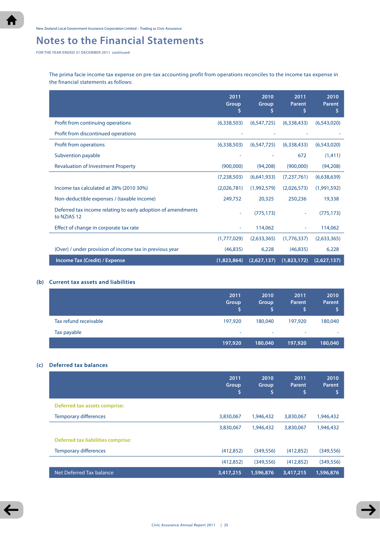**FOR THE YEAR ENDED 31 DECEMBER 2011 continued**

The prima facie income tax expense on pre-tax accounting profit from operations reconciles to the income tax expense in the financial statements as follows:

|                                                                             | 2011<br>Group<br>\$ | 2010<br>Group<br>\$ | 2011<br><b>Parent</b><br>۱Š | 2010<br>Parent<br>\$ |
|-----------------------------------------------------------------------------|---------------------|---------------------|-----------------------------|----------------------|
| Profit from continuing operations                                           | (6,338,503)         | (6, 547, 725)       | (6,338,433)                 | (6,543,020)          |
| Profit from discontinued operations                                         |                     |                     |                             |                      |
| Profit from operations                                                      | (6,338,503)         | (6,547,725)         | (6,338,433)                 | (6,543,020)          |
| Subvention payable                                                          |                     |                     | 672                         | (1, 411)             |
| <b>Revaluation of Investment Property</b>                                   | (900,000)           | (94, 208)           | (900,000)                   | (94, 208)            |
|                                                                             | (7,238,503)         | (6,641,933)         | (7,237,761)                 | (6,638,639)          |
| Income tax calculated at 28% (2010 30%)                                     | (2,026,781)         | (1,992,579)         | (2,026,573)                 | (1,991,592)          |
| Non-deductible expenses / (taxable income)                                  | 249,752             | 20,325              | 250,236                     | 19,338               |
| Deferred tax income relating to early adoption of amendments<br>to NZIAS 12 | ٠                   | (775, 173)          |                             | (775, 173)           |
| Effect of change in corporate tax rate                                      | ٠                   | 114,062             |                             | 114,062              |
|                                                                             | (1,777,029)         | (2,633,365)         | (1,776,337)                 | (2,633,365)          |
| (Over) / under provision of income tax in previous year                     | (46, 835)           | 6,228               | (46, 835)                   | 6,228                |
| Income Tax (Credit) / Expense                                               | (1,823,864)         | (2,627,137)         | (1,823,172)                 | (2,627,137)          |

## **(b) Current tax assets and liabilities**

|                       | 2011<br>Group | 2010<br>Group<br>\$ | 2011<br>Parent | 2010<br><b>Parent</b> |
|-----------------------|---------------|---------------------|----------------|-----------------------|
| Tax refund receivable | 197,920       | 180,040             | 197,920        | 180,040               |
| Tax payable           | ٠             | $\sim$              | ٠              | ۰                     |
|                       | 197,920       | 180,040             | 197,920        | 180,040               |

# **(c) Deferred tax balances**

|                                    | 2011<br>Group<br>I\$, | 2010<br>Group<br>\$ | 2011<br><b>Parent</b><br>l\$, | 2010<br><b>Parent</b><br>s |
|------------------------------------|-----------------------|---------------------|-------------------------------|----------------------------|
| Deferred tax assets comprise:      |                       |                     |                               |                            |
| <b>Temporary differences</b>       | 3,830,067             | 1,946,432           | 3,830,067                     | 1,946,432                  |
|                                    | 3,830,067             | 1,946,432           | 3,830,067                     | 1,946,432                  |
| Deferred tax liabilities comprise: |                       |                     |                               |                            |
| <b>Temporary differences</b>       | (412, 852)            | (349, 556)          | (412, 852)                    | (349, 556)                 |
|                                    | (412, 852)            | (349, 556)          | (412, 852)                    | (349, 556)                 |
| Net Deferred Tax balance           | 3,417,215             | 1,596,876           | 3,417,215                     | 1,596,876                  |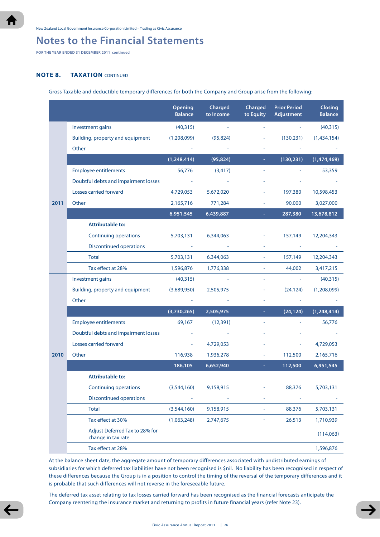**FOR THE YEAR ENDED 31 DECEMBER 2011 continued**

# **NOTE 8. TAXATION** continued

Gross Taxable and deductible temporary differences for both the Company and Group arise from the following:

|      |                                                      | <b>Opening</b><br><b>Balance</b> | Charged<br>to Income | Charged<br>to Equity | <b>Prior Period</b><br>Adjustment | <b>Closing</b><br><b>Balance</b> |
|------|------------------------------------------------------|----------------------------------|----------------------|----------------------|-----------------------------------|----------------------------------|
|      | Investment gains                                     | (40,315)                         |                      | $\blacksquare$       |                                   | (40, 315)                        |
|      | Building, property and equipment                     | (1,208,099)                      | (95, 824)            |                      | (130,231)                         | (1,434,154)                      |
|      | Other                                                |                                  |                      |                      |                                   |                                  |
|      |                                                      | (1,248,414)                      | (95, 824)            |                      | (130, 231)                        | (1,474,469)                      |
|      | <b>Employee entitlements</b>                         | 56,776                           | (3, 417)             | ä,                   |                                   | 53,359                           |
|      | Doubtful debts and impairment losses                 | <b>Contract Contract</b>         |                      |                      |                                   |                                  |
|      | Losses carried forward                               | 4,729,053                        | 5,672,020            | ÷,                   | 197,380                           | 10,598,453                       |
| 2011 | Other                                                | 2,165,716                        | 771,284              |                      | 90,000                            | 3,027,000                        |
|      |                                                      | 6,951,545                        | 6,439,887            |                      | 287,380                           | 13,678,812                       |
|      | <b>Attributable to:</b>                              |                                  |                      |                      |                                   |                                  |
|      | <b>Continuing operations</b>                         | 5,703,131                        | 6,344,063            |                      | 157,149                           | 12,204,343                       |
|      | <b>Discontinued operations</b>                       |                                  |                      | ä,                   |                                   |                                  |
|      | <b>Total</b>                                         | 5,703,131                        | 6,344,063            | $\omega_{\rm{max}}$  | 157,149                           | 12,204,343                       |
|      | Tax effect at 28%                                    | 1,596,876                        | 1,776,338            | $\sim$               | 44,002                            | 3,417,215                        |
|      | Investment gains                                     | (40,315)                         |                      |                      | $\omega$ .                        | (40, 315)                        |
|      | Building, property and equipment                     | (3,689,950)                      | 2,505,975            |                      | (24, 124)                         | (1,208,099)                      |
|      | Other                                                |                                  |                      |                      |                                   |                                  |
|      |                                                      | (3,730,265)                      | 2,505,975            |                      | (24, 124)                         | (1, 248, 414)                    |
|      | <b>Employee entitlements</b>                         | 69,167                           | (12, 391)            |                      |                                   | 56,776                           |
|      | Doubtful debts and impairment losses                 |                                  |                      |                      |                                   |                                  |
|      | Losses carried forward                               | $\overline{\phantom{a}}$         | 4,729,053            |                      |                                   | 4,729,053                        |
| 2010 | Other                                                | 116,938                          | 1,936,278            |                      | 112,500                           | 2,165,716                        |
|      |                                                      | 186,105                          | 6,652,940            |                      | 112,500                           | 6,951,545                        |
|      | <b>Attributable to:</b>                              |                                  |                      |                      |                                   |                                  |
|      | <b>Continuing operations</b>                         | (3,544,160)                      | 9,158,915            |                      | 88,376                            | 5,703,131                        |
|      | <b>Discontinued operations</b>                       |                                  |                      |                      |                                   |                                  |
|      | <b>Total</b>                                         | (3,544,160)                      | 9,158,915            |                      | 88,376                            | 5,703,131                        |
|      | Tax effect at 30%                                    | (1,063,248)                      | 2,747,675            |                      | 26,513                            | 1,710,939                        |
|      | Adjust Deferred Tax to 28% for<br>change in tax rate |                                  |                      |                      |                                   | (114,063)                        |
|      | Tax effect at 28%                                    |                                  |                      |                      |                                   | 1,596,876                        |

At the balance sheet date, the aggregate amount of temporary differences associated with undistributed earnings of subsidiaries for which deferred tax liabilities have not been recognised is \$nil. No liability has been recognised in respect of these differences because the Group is in a position to control the timing of the reversal of the temporary differences and it is probable that such differences will not reverse in the foreseeable future.

The deferred tax asset relating to tax losses carried forward has been recognised as the financial forecasts anticipate the Company reentering the insurance market and returning to profits in future financial years (refer Note 23).

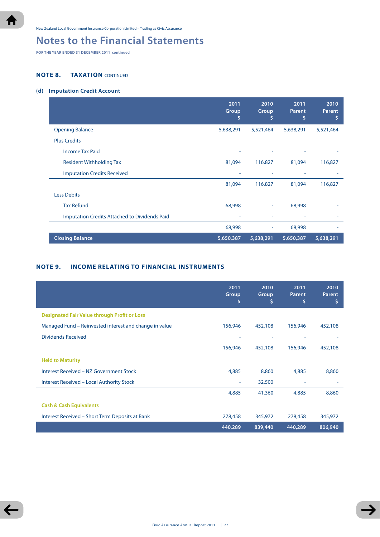**FOR THE YEAR ENDED 31 DECEMBER 2011 continued**

# **NOTE 8. TAXATION CONTINUED**

# **(d) Imputation Credit Account**

|                                                      | 2011<br>Group<br>\$ | 2010<br>Group<br>\$ | 2011<br><b>Parent</b><br>\$ | 2010<br>Parent<br>\$ |
|------------------------------------------------------|---------------------|---------------------|-----------------------------|----------------------|
| <b>Opening Balance</b>                               | 5,638,291           | 5,521,464           | 5,638,291                   | 5,521,464            |
| <b>Plus Credits</b>                                  |                     |                     |                             |                      |
| <b>Income Tax Paid</b>                               |                     |                     |                             |                      |
| <b>Resident Withholding Tax</b>                      | 81,094              | 116,827             | 81,094                      | 116,827              |
| <b>Imputation Credits Received</b>                   |                     |                     |                             |                      |
|                                                      | 81,094              | 116,827             | 81,094                      | 116,827              |
| <b>Less Debits</b>                                   |                     |                     |                             |                      |
| <b>Tax Refund</b>                                    | 68,998              | ٠                   | 68,998                      |                      |
| <b>Imputation Credits Attached to Dividends Paid</b> |                     |                     |                             |                      |
|                                                      | 68,998              | ٠                   | 68,998                      |                      |
| <b>Closing Balance</b>                               | 5,650,387           | 5,638,291           | 5,650,387                   | 5,638,291            |

# **NOTE 9. INCOME RELATING TO FINANCIAL INSTRUMENTS**

|                                                        | 2011<br>Group<br>\$ | 2010<br>Group<br>\$ | 2011<br>Parent<br>\$ | 2010<br>Parent<br>\$ |
|--------------------------------------------------------|---------------------|---------------------|----------------------|----------------------|
| <b>Designated Fair Value through Profit or Loss</b>    |                     |                     |                      |                      |
| Managed Fund – Reinvested interest and change in value | 156,946             | 452,108             | 156,946              | 452,108              |
| <b>Dividends Received</b>                              | ٠                   |                     | ٠                    |                      |
|                                                        | 156,946             | 452,108             | 156,946              | 452,108              |
| <b>Held to Maturity</b>                                |                     |                     |                      |                      |
| Interest Received - NZ Government Stock                | 4,885               | 8,860               | 4,885                | 8,860                |
| <b>Interest Received - Local Authority Stock</b>       | ٠                   | 32,500              | ۰                    |                      |
|                                                        | 4,885               | 41,360              | 4,885                | 8,860                |
| <b>Cash &amp; Cash Equivalents</b>                     |                     |                     |                      |                      |
| Interest Received - Short Term Deposits at Bank        | 278,458             | 345,972             | 278,458              | 345,972              |
|                                                        | 440,289             | 839,440             | 440,289              | 806,940              |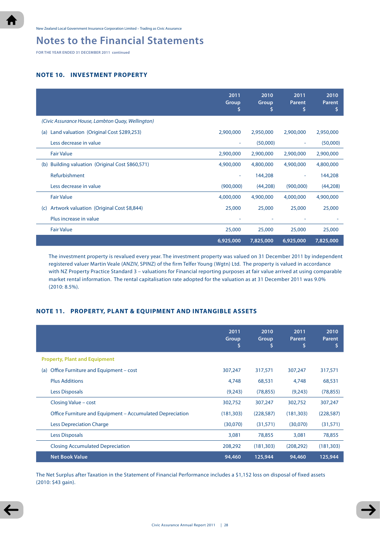**FOR THE YEAR ENDED 31 DECEMBER 2011 continued**

# **NOTE 10. INVESTMENT PROPERTY**

|                                                     | 2011<br>Group<br>\$ | 2010<br>Group<br>\$ | 2011<br><b>Parent</b><br>\$ | 2010<br>Parent<br>\$ |
|-----------------------------------------------------|---------------------|---------------------|-----------------------------|----------------------|
| (Civic Assurance House, Lambton Quay, Wellington)   |                     |                     |                             |                      |
| Land valuation (Original Cost \$289,253)<br>(a)     | 2,900,000           | 2,950,000           | 2,900,000                   | 2,950,000            |
| Less decrease in value                              | $\sim$              | (50,000)            | ٠                           | (50,000)             |
| <b>Fair Value</b>                                   | 2,900,000           | 2,900,000           | 2,900,000                   | 2,900,000            |
| Building valuation (Original Cost \$860,571)<br>(b) | 4,900,000           | 4,800,000           | 4,900,000                   | 4,800,000            |
| Refurbishment                                       | ٠                   | 144,208             | ٠                           | 144,208              |
| Less decrease in value                              | (900,000)           | (44,208)            | (900,000)                   | (44,208)             |
| <b>Fair Value</b>                                   | 4,000,000           | 4,900,000           | 4,000,000                   | 4,900,000            |
| Artwork valuation (Original Cost \$8,844)<br>(c)    | 25,000              | 25,000              | 25,000                      | 25,000               |
| Plus increase in value                              |                     |                     |                             |                      |
| <b>Fair Value</b>                                   | 25,000              | 25,000              | 25,000                      | 25,000               |
|                                                     | 6,925,000           | 7,825,000           | 6,925,000                   | 7,825,000            |

The investment property is revalued every year. The investment property was valued on 31 December 2011 by independent registered valuer Martin Veale (ANZIV, SPINZ) of the firm Telfer Young (Wgtn) Ltd. The property is valued in accordance with NZ Property Practice Standard 3 – valuations for Financial reporting purposes at fair value arrived at using comparable market rental information. The rental capitalisation rate adopted for the valuation as at 31 December 2011 was 9.0% (2010: 8.5%).

# **NOTE 11. PROPERTY, PLANT & EQUIPMENT AND INTANGIBLE ASSETS**

|                                                           | 2011<br>Group<br>∍ | 2010<br>Group<br>∍ | 2011<br>Parent<br>Ş | 2010<br><b>Parent</b><br>\$ |
|-----------------------------------------------------------|--------------------|--------------------|---------------------|-----------------------------|
| <b>Property, Plant and Equipment</b>                      |                    |                    |                     |                             |
| Office Furniture and Equipment – cost<br>(a)              | 307,247            | 317,571            | 307,247             | 317,571                     |
| <b>Plus Additions</b>                                     | 4,748              | 68,531             | 4,748               | 68,531                      |
| <b>Less Disposals</b>                                     | (9,243)            | (78, 855)          | (9,243)             | (78, 855)                   |
| Closing Value – cost                                      | 302,752            | 307,247            | 302,752             | 307,247                     |
| Office Furniture and Equipment – Accumulated Depreciation | (181, 303)         | (228, 587)         | (181, 303)          | (228, 587)                  |
| <b>Less Depreciation Charge</b>                           | (30,070)           | (31, 571)          | (30,070)            | (31, 571)                   |
| <b>Less Disposals</b>                                     | 3,081              | 78,855             | 3,081               | 78,855                      |
| <b>Closing Accumulated Depreciation</b>                   | 208,292            | (181, 303)         | (208, 292)          | (181, 303)                  |
| <b>Net Book Value</b>                                     | 94,460             | 125,944            | 94,460              | 125,944                     |

The Net Surplus after Taxation in the Statement of Financial Performance includes a \$1,152 loss on disposal of fixed assets (2010: \$43 gain).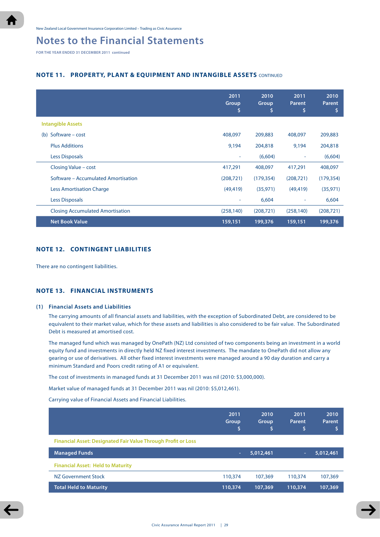**FOR THE YEAR ENDED 31 DECEMBER 2011 continued**

# **NOTE 11. PROPERTY, PLANT & EQUIPMENT AND INTANGIBLE ASSETS** continued

|                                         | 2011<br>Group<br>Ş | 2010<br>Group<br>S | 2011<br>Parent<br>S | 2010<br><b>Parent</b><br>\$ |
|-----------------------------------------|--------------------|--------------------|---------------------|-----------------------------|
| <b>Intangible Assets</b>                |                    |                    |                     |                             |
| Software – cost<br>(b)                  | 408,097            | 209,883            | 408,097             | 209,883                     |
| <b>Plus Additions</b>                   | 9,194              | 204,818            | 9,194               | 204,818                     |
| <b>Less Disposals</b>                   |                    | (6,604)            | ٠                   | (6,604)                     |
| Closing Value - cost                    | 417,291            | 408,097            | 417,291             | 408,097                     |
| Software – Accumulated Amortisation     | (208, 721)         | (179, 354)         | (208, 721)          | (179, 354)                  |
| <b>Less Amortisation Charge</b>         | (49, 419)          | (35, 971)          | (49, 419)           | (35, 971)                   |
| <b>Less Disposals</b>                   | ٠                  | 6,604              | ٠                   | 6,604                       |
| <b>Closing Accumulated Amortisation</b> | (258, 140)         | (208, 721)         | (258, 140)          | (208, 721)                  |
| <b>Net Book Value</b>                   | 159,151            | 199,376            | 159,151             | 199,376                     |

# **NOTE 12. CONTINGENT LIABILITIES**

There are no contingent liabilities.

# **NOTE 13. FINANCIAL INSTRUMENTS**

## **(1) Financial Assets and Liabilities**

The carrying amounts of all financial assets and liabilities, with the exception of Subordinated Debt, are considered to be equivalent to their market value, which for these assets and liabilities is also considered to be fair value. The Subordinated Debt is measured at amortised cost.

 The managed fund which was managed by OnePath (NZ) Ltd consisted of two components being an investment in a world equity fund and investments in directly held NZ fixed interest investments. The mandate to OnePath did not allow any gearing or use of derivatives. All other fixed interest investments were managed around a 90 day duration and carry a minimum Standard and Poors credit rating of A1 or equivalent.

The cost of investments in managed funds at 31 December 2011 was nil (2010: \$3,000,000).

Market value of managed funds at 31 December 2011 was nil (2010: \$5,012,461).

Carrying value of Financial Assets and Financial Liabilities.

|                                                                      | 2011<br><b>Group</b><br>'\$ | 2010<br><b>Group</b> | 2011<br>Parent | 2010<br>Parent |
|----------------------------------------------------------------------|-----------------------------|----------------------|----------------|----------------|
| <b>Financial Asset: Designated Fair Value Through Profit or Loss</b> |                             |                      |                |                |
| <b>Managed Funds</b>                                                 | ٠                           | 5,012,461            | ÷              | 5,012,461      |
| <b>Financial Asset: Held to Maturity</b>                             |                             |                      |                |                |
| NZ Government Stock                                                  | 110,374                     | 107,369              | 110,374        | 107,369        |
| <b>Total Held to Maturity</b>                                        | 110,374                     | 107,369              | 110,374        | 107,369        |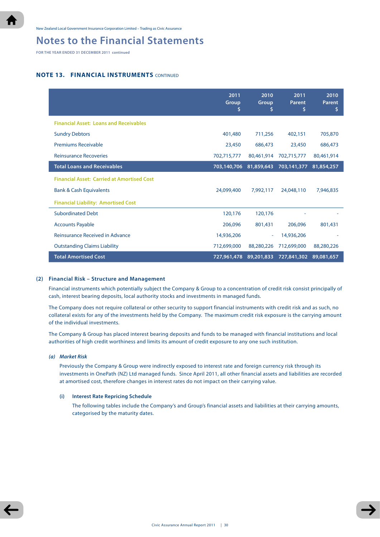**FOR THE YEAR ENDED 31 DECEMBER 2011 continued**

# **NOTE 13. FINANCIAL INSTRUMENTS** continued

|                                                   | 2011<br>Group<br>Ş | 2010<br>Group<br>Ş       | 2011<br><b>Parent</b><br>s | 2010<br><b>Parent</b><br>\$ |
|---------------------------------------------------|--------------------|--------------------------|----------------------------|-----------------------------|
| <b>Financial Asset: Loans and Receivables</b>     |                    |                          |                            |                             |
| <b>Sundry Debtors</b>                             | 401,480            | 711,256                  | 402,151                    | 705,870                     |
| <b>Premiums Receivable</b>                        | 23,450             | 686,473                  | 23,450                     | 686,473                     |
| <b>Reinsurance Recoveries</b>                     | 702,715,777        | 80,461,914               | 702,715,777                | 80,461,914                  |
| <b>Total Loans and Receivables</b>                | 703,140,706        | 81,859,643               | 703,141,377                | 81,854,257                  |
| <b>Financial Asset: Carried at Amortised Cost</b> |                    |                          |                            |                             |
| <b>Bank &amp; Cash Equivalents</b>                | 24,099,400         | 7,992,117                | 24,048,110                 | 7,946,835                   |
| <b>Financial Liability: Amortised Cost</b>        |                    |                          |                            |                             |
| <b>Subordinated Debt</b>                          | 120,176            | 120,176                  |                            |                             |
| <b>Accounts Payable</b>                           | 206,096            | 801,431                  | 206,096                    | 801,431                     |
| Reinsurance Received in Advance                   | 14,936,206         | $\overline{\phantom{a}}$ | 14,936,206                 |                             |
| <b>Outstanding Claims Liability</b>               | 712,699,000        | 88,280,226               | 712,699,000                | 88,280,226                  |
| <b>Total Amortised Cost</b>                       | 727,961,478        | 89,201,833               | 727,841,302                | 89,081,657                  |

## **(2) Financial Risk – Structure and Management**

Financial instruments which potentially subject the Company & Group to a concentration of credit risk consist principally of cash, interest bearing deposits, local authority stocks and investments in managed funds.

The Company does not require collateral or other security to support financial instruments with credit risk and as such, no collateral exists for any of the investments held by the Company. The maximum credit risk exposure is the carrying amount of the individual investments.

The Company & Group has placed interest bearing deposits and funds to be managed with financial institutions and local authorities of high credit worthiness and limits its amount of credit exposure to any one such institution.

#### *(a) Market Risk*

 Previously the Company & Group were indirectly exposed to interest rate and foreign currency risk through its investments in OnePath (NZ) Ltd managed funds. Since April 2011, all other financial assets and liabilities are recorded at amortised cost, therefore changes in interest rates do not impact on their carrying value.

#### **(i) Interest Rate Repricing Schedule**

 The following tables include the Company's and Group's financial assets and liabilities at their carrying amounts, categorised by the maturity dates.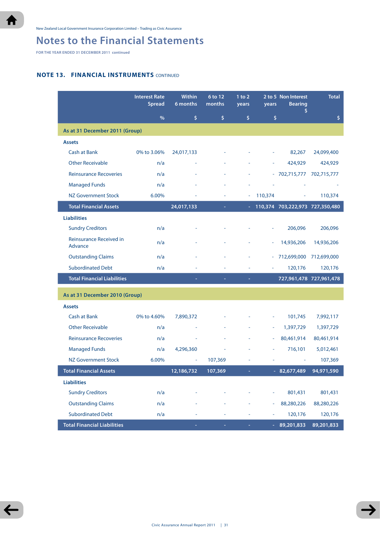**FOR THE YEAR ENDED 31 DECEMBER 2011 continued**

# **NOTE 13. FINANCIAL INSTRUMENTS** continued

|                                    | <b>Interest Rate</b><br><b>Spread</b> | Within<br>6 months | 6 to 12<br>months | 1 to 2<br>years | years          | 2 to 5 Non Interest<br><b>Bearing</b> | <b>Total</b>                    |
|------------------------------------|---------------------------------------|--------------------|-------------------|-----------------|----------------|---------------------------------------|---------------------------------|
|                                    | %                                     | \$                 | \$                | \$              | \$             | \$                                    | \$                              |
| As at 31 December 2011 (Group)     |                                       |                    |                   |                 |                |                                       |                                 |
| <b>Assets</b>                      |                                       |                    |                   |                 |                |                                       |                                 |
| <b>Cash at Bank</b>                | 0% to 3.06%                           | 24,017,133         |                   |                 |                | 82,267                                | 24,099,400                      |
| <b>Other Receivable</b>            | n/a                                   |                    |                   |                 |                | 424,929                               | 424,929                         |
| <b>Reinsurance Recoveries</b>      | n/a                                   |                    |                   |                 |                | $-702,715,777$                        | 702,715,777                     |
| <b>Managed Funds</b>               | n/a                                   |                    |                   |                 |                |                                       |                                 |
| <b>NZ Government Stock</b>         | 6.00%                                 |                    |                   |                 | 110,374        | ÷                                     | 110,374                         |
| <b>Total Financial Assets</b>      |                                       | 24,017,133         |                   |                 |                |                                       | 110,374 703,222,973 727,350,480 |
| <b>Liabilities</b>                 |                                       |                    |                   |                 |                |                                       |                                 |
| <b>Sundry Creditors</b>            | n/a                                   |                    |                   |                 |                | 206,096                               | 206,096                         |
| Reinsurance Received in<br>Advance | n/a                                   |                    |                   |                 |                | 14,936,206                            | 14,936,206                      |
| <b>Outstanding Claims</b>          | n/a                                   |                    |                   |                 |                | 712,699,000                           | 712,699,000                     |
| <b>Subordinated Debt</b>           | n/a                                   |                    |                   |                 |                | 120,176                               | 120,176                         |
| <b>Total Financial Liabilities</b> |                                       | $\equiv$           | $\equiv$          |                 |                |                                       | 727,961,478 727,961,478         |
| As at 31 December 2010 (Group)     |                                       |                    |                   |                 |                |                                       |                                 |
| <b>Assets</b>                      |                                       |                    |                   |                 |                |                                       |                                 |
| <b>Cash at Bank</b>                | 0% to 4.60%                           | 7,890,372          |                   |                 | ÷,             | 101,745                               | 7,992,117                       |
| <b>Other Receivable</b>            | n/a                                   |                    |                   |                 | ä,             | 1,397,729                             | 1,397,729                       |
| <b>Reinsurance Recoveries</b>      | n/a                                   |                    |                   |                 | ÷              | 80,461,914                            | 80,461,914                      |
| <b>Managed Funds</b>               | n/a                                   | 4,296,360          |                   |                 |                | 716,101                               | 5,012,461                       |
| <b>NZ Government Stock</b>         | 6.00%                                 |                    | 107,369           |                 |                | $\bar{a}$                             | 107,369                         |
| <b>Total Financial Assets</b>      |                                       | 12,186,732         | 107,369           |                 |                | $-82,677,489$                         | 94,971,590                      |
| <b>Liabilities</b>                 |                                       |                    |                   |                 |                |                                       |                                 |
| <b>Sundry Creditors</b>            | n/a                                   |                    |                   |                 |                | 801,431                               | 801,431                         |
| <b>Outstanding Claims</b>          | n/a                                   |                    |                   |                 | $\blacksquare$ | 88,280,226                            | 88,280,226                      |
| <b>Subordinated Debt</b>           | n/a                                   |                    |                   |                 |                | 120,176                               | 120,176                         |
| <b>Total Financial Liabilities</b> |                                       | ٠                  | ۳                 | ۳               |                | 89,201,833                            | 89,201,833                      |

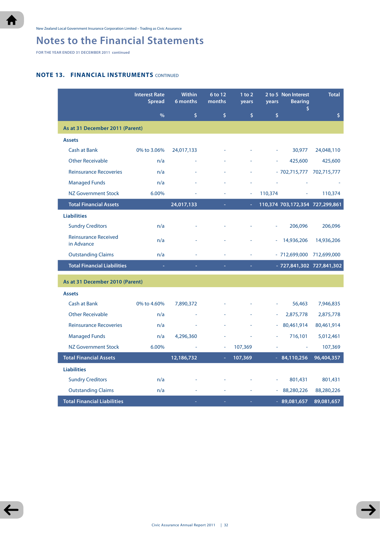**FOR THE YEAR ENDED 31 DECEMBER 2011 continued**

# **NOTE 13. FINANCIAL INSTRUMENTS** continued

|                                           | <b>Interest Rate</b><br><b>Spread</b> | <b>Within</b><br>6 months | 6 to 12<br>months | $1$ to $2$<br>years | years   | 2 to 5 Non Interest<br><b>Bearing</b> | <b>Total</b>              |
|-------------------------------------------|---------------------------------------|---------------------------|-------------------|---------------------|---------|---------------------------------------|---------------------------|
|                                           | $\%$                                  | \$                        | \$                | \$                  | \$      | \$                                    | \$                        |
| As at 31 December 2011 (Parent)           |                                       |                           |                   |                     |         |                                       |                           |
| <b>Assets</b>                             |                                       |                           |                   |                     |         |                                       |                           |
| Cash at Bank                              | 0% to 3.06%                           | 24,017,133                |                   |                     |         | 30,977                                | 24,048,110                |
| <b>Other Receivable</b>                   | n/a                                   |                           |                   |                     |         | 425,600                               | 425,600                   |
| <b>Reinsurance Recoveries</b>             | n/a                                   |                           |                   |                     |         | $-702,715,777$                        | 702,715,777               |
| <b>Managed Funds</b>                      | n/a                                   |                           |                   |                     |         |                                       |                           |
| <b>NZ Government Stock</b>                | 6.00%                                 |                           |                   | ä,                  | 110,374 |                                       | 110,374                   |
| <b>Total Financial Assets</b>             |                                       | 24,017,133                | ÷,                | ÷                   |         | 110,374 703,172,354 727,299,861       |                           |
| <b>Liabilities</b>                        |                                       |                           |                   |                     |         |                                       |                           |
| <b>Sundry Creditors</b>                   | n/a                                   |                           |                   |                     |         | 206,096                               | 206,096                   |
| <b>Reinsurance Received</b><br>in Advance | n/a                                   |                           |                   |                     |         | 14,936,206                            | 14,936,206                |
| <b>Outstanding Claims</b>                 | n/a                                   |                           |                   |                     |         | $-712,699,000$                        | 712,699,000               |
| <b>Total Financial Liabilities</b>        | ÷                                     |                           |                   |                     |         |                                       | - 727,841,302 727,841,302 |
| As at 31 December 2010 (Parent)           |                                       |                           |                   |                     |         |                                       |                           |
| <b>Assets</b>                             |                                       |                           |                   |                     |         |                                       |                           |
| <b>Cash at Bank</b>                       | 0% to 4.60%                           | 7,890,372                 |                   |                     | ÷,      | 56,463                                | 7,946,835                 |
| <b>Other Receivable</b>                   | n/a                                   |                           |                   |                     |         | 2,875,778                             | 2,875,778                 |
| <b>Reinsurance Recoveries</b>             | n/a                                   |                           |                   |                     | ä,      | 80,461,914                            | 80,461,914                |
| <b>Managed Funds</b>                      | n/a                                   | 4,296,360                 |                   |                     |         | 716,101                               | 5,012,461                 |
| NZ Government Stock                       | 6.00%                                 |                           |                   | 107,369             |         |                                       | 107,369                   |
| <b>Total Financial Assets</b>             |                                       | 12,186,732                | ÷.                | 107,369             |         | $-84,110,256$                         | 96,404,357                |
| <b>Liabilities</b>                        |                                       |                           |                   |                     |         |                                       |                           |
| <b>Sundry Creditors</b>                   | n/a                                   |                           |                   |                     |         | 801,431                               | 801,431                   |
| <b>Outstanding Claims</b>                 | n/a                                   |                           |                   |                     | ÷,      | 88,280,226                            | 88,280,226                |
| <b>Total Financial Liabilities</b>        |                                       |                           |                   |                     |         | 89,081,657                            | 89,081,657                |

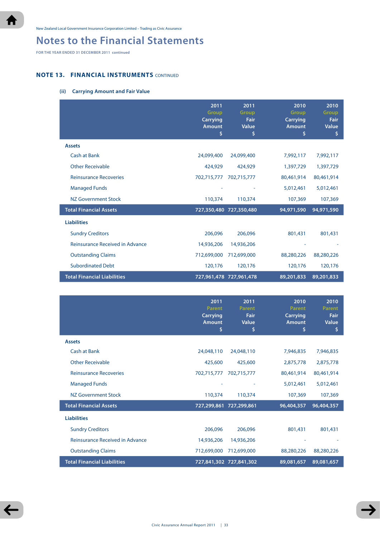**FOR THE YEAR ENDED 31 DECEMBER 2011 continued**

# **NOTE 13. FINANCIAL INSTRUMENTS** continued

## **(ii) Carrying Amount and Fair Value**

|                                    | 2011<br><b>Group</b><br><b>Carrying</b><br><b>Amount</b><br>\$ | 2011<br><b>Group</b><br><b>Fair</b><br>Value<br>\$ | 2010<br><b>Group</b><br><b>Carrying</b><br><b>Amount</b><br>\$ | 2010<br>Group<br><b>Fair</b><br>Value<br>\$ |
|------------------------------------|----------------------------------------------------------------|----------------------------------------------------|----------------------------------------------------------------|---------------------------------------------|
| <b>Assets</b>                      |                                                                |                                                    |                                                                |                                             |
| <b>Cash at Bank</b>                | 24,099,400                                                     | 24,099,400                                         | 7,992,117                                                      | 7,992,117                                   |
| <b>Other Receivable</b>            | 424,929                                                        | 424,929                                            | 1,397,729                                                      | 1,397,729                                   |
| <b>Reinsurance Recoveries</b>      | 702,715,777                                                    | 702,715,777                                        | 80,461,914                                                     | 80,461,914                                  |
| <b>Managed Funds</b>               |                                                                |                                                    | 5,012,461                                                      | 5,012,461                                   |
| NZ Government Stock                | 110,374                                                        | 110,374                                            | 107,369                                                        | 107,369                                     |
| <b>Total Financial Assets</b>      |                                                                | 727,350,480 727,350,480                            | 94,971,590                                                     | 94,971,590                                  |
| <b>Liabilities</b>                 |                                                                |                                                    |                                                                |                                             |
| <b>Sundry Creditors</b>            | 206,096                                                        | 206,096                                            | 801,431                                                        | 801,431                                     |
| Reinsurance Received in Advance    | 14,936,206                                                     | 14,936,206                                         |                                                                |                                             |
| <b>Outstanding Claims</b>          | 712,699,000                                                    | 712,699,000                                        | 88,280,226                                                     | 88,280,226                                  |
| <b>Subordinated Debt</b>           | 120,176                                                        | 120,176                                            | 120,176                                                        | 120,176                                     |
| <b>Total Financial Liabilities</b> |                                                                | 727,961,478 727,961,478                            | 89,201,833                                                     | 89,201,833                                  |

|                                    | 2011<br>Parent<br><b>Carrying</b><br><b>Amount</b><br>\$ | 2011<br>Parent<br><b>Fair</b><br>Value<br>S | 2010<br>Parent<br><b>Carrying</b><br><b>Amount</b><br>\$ | 2010<br>Parent<br><b>Fair</b><br>Value<br>\$ |
|------------------------------------|----------------------------------------------------------|---------------------------------------------|----------------------------------------------------------|----------------------------------------------|
| <b>Assets</b>                      |                                                          |                                             |                                                          |                                              |
| <b>Cash at Bank</b>                | 24,048,110                                               | 24,048,110                                  | 7,946,835                                                | 7,946,835                                    |
| <b>Other Receivable</b>            | 425,600                                                  | 425,600                                     | 2,875,778                                                | 2,875,778                                    |
| <b>Reinsurance Recoveries</b>      | 702,715,777                                              | 702,715,777                                 | 80,461,914                                               | 80,461,914                                   |
| <b>Managed Funds</b>               |                                                          |                                             | 5,012,461                                                | 5,012,461                                    |
| NZ Government Stock                | 110,374                                                  | 110,374                                     | 107,369                                                  | 107,369                                      |
| <b>Total Financial Assets</b>      | 727,299,861                                              | 727,299,861                                 | 96,404,357                                               | 96,404,357                                   |
| <b>Liabilities</b>                 |                                                          |                                             |                                                          |                                              |
| <b>Sundry Creditors</b>            | 206,096                                                  | 206,096                                     | 801,431                                                  | 801,431                                      |
| Reinsurance Received in Advance    | 14,936,206                                               | 14,936,206                                  |                                                          |                                              |
| <b>Outstanding Claims</b>          | 712,699,000                                              | 712,699,000                                 | 88,280,226                                               | 88,280,226                                   |
| <b>Total Financial Liabilities</b> |                                                          | 727,841,302 727,841,302                     | 89,081,657                                               | 89,081,657                                   |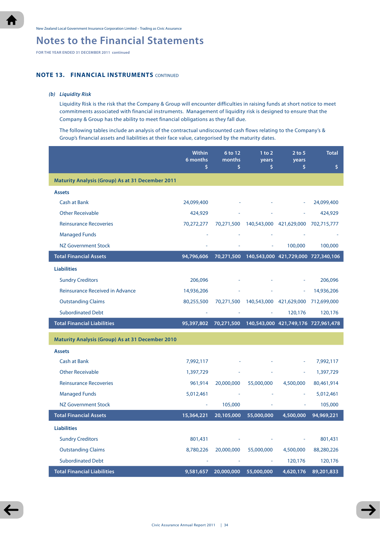**FOR THE YEAR ENDED 31 DECEMBER 2011 continued**

# **NOTE 13. FINANCIAL INSTRUMENTS** continued

## *(b) Liquidity Risk*

 Liquidity Risk is the risk that the Company & Group will encounter difficulties in raising funds at short notice to meet commitments associated with financial instruments. Management of liquidity risk is designed to ensure that the Company & Group has the ability to meet financial obligations as they fall due.

 The following tables include an analysis of the contractual undiscounted cash flows relating to the Company's & Group's financial assets and liabilities at their face value, categorised by the maturity dates.

|                                                         | <b>Within</b><br>6 months<br>\$ | 6 to 12<br>months<br>\$ | $1$ to $2$<br>years<br>\$ | $2$ to 5<br>years<br>\$             | <b>Total</b><br>\$                  |
|---------------------------------------------------------|---------------------------------|-------------------------|---------------------------|-------------------------------------|-------------------------------------|
| <b>Maturity Analysis (Group) As at 31 December 2011</b> |                                 |                         |                           |                                     |                                     |
| <b>Assets</b>                                           |                                 |                         |                           |                                     |                                     |
| <b>Cash at Bank</b>                                     | 24,099,400                      |                         |                           |                                     | 24,099,400                          |
| <b>Other Receivable</b>                                 | 424,929                         |                         |                           |                                     | 424,929                             |
| <b>Reinsurance Recoveries</b>                           | 70,272,277                      | 70,271,500              | 140,543,000 421,629,000   |                                     | 702,715,777                         |
| <b>Managed Funds</b>                                    |                                 |                         |                           |                                     |                                     |
| <b>NZ Government Stock</b>                              |                                 |                         |                           | 100,000                             | 100,000                             |
| <b>Total Financial Assets</b>                           | 94,796,606                      | 70,271,500              |                           |                                     | 140,543,000 421,729,000 727,340,106 |
| <b>Liabilities</b>                                      |                                 |                         |                           |                                     |                                     |
| <b>Sundry Creditors</b>                                 | 206,096                         |                         |                           |                                     | 206,096                             |
| <b>Reinsurance Received in Advance</b>                  | 14,936,206                      |                         |                           |                                     | 14,936,206                          |
| <b>Outstanding Claims</b>                               | 80,255,500                      | 70,271,500              | 140,543,000 421,629,000   |                                     | 712,699,000                         |
| <b>Subordinated Debt</b>                                |                                 |                         |                           | 120,176                             | 120,176                             |
| <b>Total Financial Liabilities</b>                      | 95,397,802                      | 70,271,500              |                           | 140,543,000 421,749,176 727,961,478 |                                     |
| <b>Maturity Analysis (Group) As at 31 December 2010</b> |                                 |                         |                           |                                     |                                     |
| <b>Assets</b>                                           |                                 |                         |                           |                                     |                                     |
| <b>Cash at Bank</b>                                     | 7,992,117                       |                         |                           |                                     | 7,992,117                           |
| <b>Other Receivable</b>                                 | 1,397,729                       |                         |                           |                                     | 1,397,729                           |
| <b>Reinsurance Recoveries</b>                           | 961,914                         | 20,000,000              | 55,000,000                | 4,500,000                           | 80,461,914                          |
| <b>Managed Funds</b>                                    | 5,012,461                       |                         |                           |                                     | 5,012,461                           |
| <b>NZ Government Stock</b>                              |                                 | 105,000                 |                           |                                     | 105,000                             |
| <b>Total Financial Assets</b>                           | 15,364,221                      | 20,105,000              | 55,000,000                | 4,500,000                           | 94,969,221                          |
| <b>Liabilities</b>                                      |                                 |                         |                           |                                     |                                     |
| <b>Sundry Creditors</b>                                 | 801,431                         |                         |                           |                                     | 801,431                             |
| <b>Outstanding Claims</b>                               | 8,780,226                       | 20,000,000              | 55,000,000                | 4,500,000                           | 88,280,226                          |
| <b>Subordinated Debt</b>                                |                                 |                         |                           | 120,176                             | 120,176                             |
| <b>Total Financial Liabilities</b>                      | 9,581,657                       | 20,000,000              | 55,000,000                | 4,620,176                           | 89,201,833                          |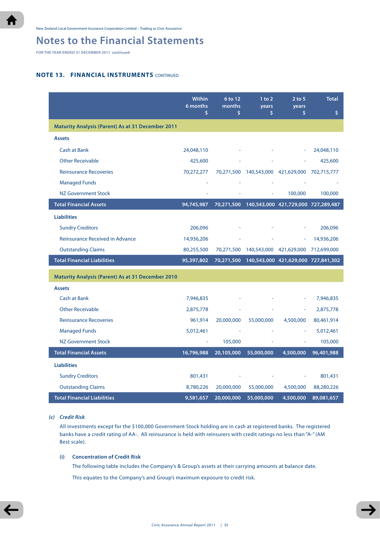**FOR THE YEAR ENDED 31 DECEMBER 2011 continued**

# **NOTE 13. FINANCIAL INSTRUMENTS** continued

|                                                          | <b>Within</b><br>6 months<br>\$ | 6 to 12<br>months<br>\$ | $1$ to $2$<br>years<br>\$           | $2$ to 5<br>years<br>\$ | <b>Total</b><br>\$                  |
|----------------------------------------------------------|---------------------------------|-------------------------|-------------------------------------|-------------------------|-------------------------------------|
| <b>Maturity Analysis (Parent) As at 31 December 2011</b> |                                 |                         |                                     |                         |                                     |
| <b>Assets</b>                                            |                                 |                         |                                     |                         |                                     |
| <b>Cash at Bank</b>                                      | 24,048,110                      |                         |                                     |                         | 24,048,110                          |
| <b>Other Receivable</b>                                  | 425,600                         |                         |                                     |                         | 425,600                             |
| <b>Reinsurance Recoveries</b>                            | 70,272,277                      | 70,271,500              | 140,543,000 421,629,000             |                         | 702,715,777                         |
| <b>Managed Funds</b>                                     |                                 |                         |                                     |                         |                                     |
| <b>NZ Government Stock</b>                               |                                 |                         |                                     | 100,000                 | 100,000                             |
| <b>Total Financial Assets</b>                            | 94,745,987                      | 70,271,500              | 140,543,000 421,729,000 727,289,487 |                         |                                     |
| <b>Liabilities</b>                                       |                                 |                         |                                     |                         |                                     |
| <b>Sundry Creditors</b>                                  | 206,096                         |                         |                                     |                         | 206,096                             |
| <b>Reinsurance Received in Advance</b>                   | 14,936,206                      |                         |                                     |                         | 14,936,206                          |
| <b>Outstanding Claims</b>                                | 80,255,500                      | 70,271,500              | 140,543,000 421,629,000             |                         | 712,699,000                         |
| <b>Total Financial Liabilities</b>                       | 95,397,802                      | 70,271,500              |                                     |                         | 140,543,000 421,629,000 727,841,302 |
| <b>Maturity Analysis (Parent) As at 31 December 2010</b> |                                 |                         |                                     |                         |                                     |
| <b>Assets</b>                                            |                                 |                         |                                     |                         |                                     |
| Cash at Bank                                             | 7,946,835                       |                         |                                     |                         | 7,946,835                           |
| <b>Other Receivable</b>                                  | 2,875,778                       |                         |                                     |                         | 2,875,778                           |
| <b>Reinsurance Recoveries</b>                            | 961,914                         | 20,000,000              | 55,000,000                          | 4,500,000               | 80,461,914                          |
| <b>Managed Funds</b>                                     | 5,012,461                       |                         |                                     |                         | 5,012,461                           |
| <b>NZ Government Stock</b>                               |                                 | 105,000                 |                                     |                         | 105,000                             |
| <b>Total Financial Assets</b>                            | 16,796,988                      | 20,105,000              | 55,000,000                          | 4,500,000               | 96,401,988                          |
| <b>Liabilities</b>                                       |                                 |                         |                                     |                         |                                     |
| <b>Sundry Creditors</b>                                  | 801,431                         |                         |                                     |                         | 801,431                             |
| <b>Outstanding Claims</b>                                | 8,780,226                       | 20,000,000              | 55,000,000                          | 4,500,000               | 88,280,226                          |
| <b>Total Financial Liabilities</b>                       | 9,581,657                       | 20,000,000              | 55,000,000                          | 4,500,000               | 89,081,657                          |

#### *(c) Credit Risk*

 All investments except for the \$100,000 Government Stock holding are in cash at registered banks. The registered banks have a credit rating of AA-. All reinsurance is held with reinsurers with credit ratings no less than "A-" (AM Best scale). The set of the set of the set of the set of the set of the set of the set of the set of the set of the set of the set of the set of the set of the set of the set of the set of the set of the set of the set of

## **(i) Concentration of Credit Risk**

The following table includes the Company's & Group's assets at their carrying amounts at balance date.

This equates to the Company's and Group's maximum exposure to credit risk.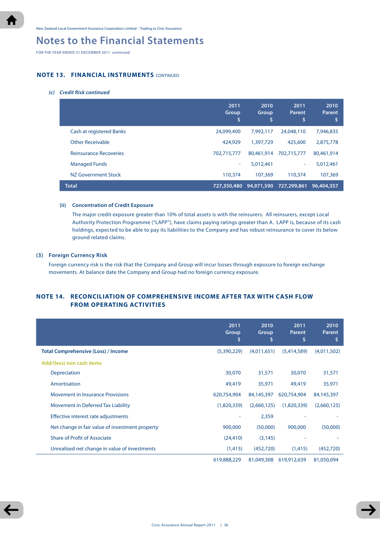**FOR THE YEAR ENDED 31 DECEMBER 2011 continued**

# **NOTE 13. FINANCIAL INSTRUMENTS** continued

#### *(c) Credit Risk continued*

|                                 | 2011<br>Group<br>\$ | 2010<br>Group<br>Ś | 2011<br>Parent<br>\$ | 2010<br>Parent<br>\$ |
|---------------------------------|---------------------|--------------------|----------------------|----------------------|
| <b>Cash at registered Banks</b> | 24,099,400          | 7.992.117          | 24,048,110           | 7,946,835            |
| <b>Other Receivable</b>         | 424.929             | 1,397,729          | 425,600              | 2,875,778            |
| <b>Reinsurance Recoveries</b>   | 702,715,777         | 80,461,914         | 702.715.777          | 80,461,914           |
| <b>Managed Funds</b>            | ٠                   | 5.012.461          | ٠                    | 5,012,461            |
| NZ Government Stock             | 110,374             | 107,369            | 110,374              | 107,369              |
| <b>Total</b>                    | 727,350,480         | 94,971,590         | 727,299,861          | 96,404,357           |

#### **(ii) Concentration of Credit Exposure**

 The major credit exposure greater than 10% of total assets is with the reinsurers. All reinsurers, except Local Authority Protection Programme ("LAPP"), have claims paying ratings greater than A. LAPP is, because of its cash holdings, expected to be able to pay its liabilities to the Company and has robust reinsurance to cover its below ground related claims.

## **(3) Foreign Currency Risk**

Foreign currency risk is the risk that the Company and Group will incur losses through exposure to foreign exchange movements. At balance date the Company and Group had no foreign currency exposure.

# **NOTE 14. RECONCILIATION OF COMPREHENSIVE INCOME AFTER TAX WITH CASH FLOW FROM OPERATING ACTIVITies**

|                                                 | 2011<br>Group<br>\$ | 2010<br><b>Group</b><br>S | 2011<br><b>Parent</b><br>\$ | 2010<br>Parent<br>\$ |
|-------------------------------------------------|---------------------|---------------------------|-----------------------------|----------------------|
| <b>Total Comprehensive (Loss) / Income</b>      | (5,390,229)         | (4,011,651)               | (5,414,589)                 | (4,011,502)          |
| Add/(less) non cash items                       |                     |                           |                             |                      |
| Depreciation                                    | 30,070              | 31,571                    | 30,070                      | 31,571               |
| Amortisation                                    | 49,419              | 35,971                    | 49,419                      | 35,971               |
| <b>Movement in Insurance Provisions</b>         | 620,754,904         | 84,145,397                | 620,754,904                 | 84,145,397           |
| <b>Movement in Deferred Tax Liability</b>       | (1,820,339)         | (2,660,125)               | (1,820,339)                 | (2,660,125)          |
| Effective interest rate adjustments             |                     | 2,359                     |                             |                      |
| Net change in fair value of investment property | 900,000             | (50,000)                  | 900,000                     | (50,000)             |
| <b>Share of Profit of Associate</b>             | (24, 410)           | (3, 145)                  |                             |                      |
| Unrealised net change in value of investments   | (1, 415)            | (452, 720)                | (1, 415)                    | (452, 720)           |
|                                                 | 619,888,229         | 81,049,308                | 619,912,639                 | 81,050,094           |

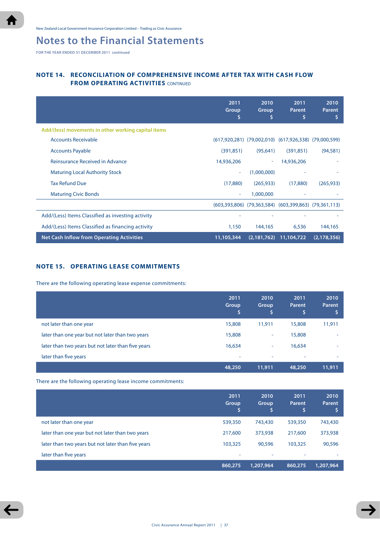**FOR THE YEAR ENDED 31 DECEMBER 2011 continued**

# **NOTE 14. RECONCILIATION OF COMPREHENSIVE INCOME AFTER TAX WITH CASH FLOW FROM OPERATING ACTIVITIES** CONTINUED

|                                                     | 2011<br><b>Group</b><br>\$ | 2010<br><b>Group</b><br>S | 2011<br><b>Parent</b><br>\$                                           | 2010<br><b>Parent</b><br>\$ |
|-----------------------------------------------------|----------------------------|---------------------------|-----------------------------------------------------------------------|-----------------------------|
| Add/(less) movements in other working capital items |                            |                           |                                                                       |                             |
| <b>Accounts Receivable</b>                          |                            |                           | (617,920,281) (79,002,010) (617,926,338) (79,000,599)                 |                             |
| <b>Accounts Payable</b>                             | (391.851)                  | (95, 641)                 | (391.851)                                                             | (94, 581)                   |
| Reinsurance Received in Advance                     | 14,936,206                 | ٠                         | 14,936,206                                                            |                             |
| <b>Maturing Local Authority Stock</b>               | ۰                          | (1,000,000)               |                                                                       |                             |
| <b>Tax Refund Due</b>                               | (17,880)                   | (265, 933)                | (17,880)                                                              | (265, 933)                  |
| <b>Maturing Civic Bonds</b>                         | ٠                          | 1,000,000                 |                                                                       |                             |
|                                                     |                            |                           | $(603, 393, 806)$ $(79, 363, 584)$ $(603, 399, 863)$ $(79, 361, 113)$ |                             |
| Add/(Less) Items Classified as investing activity   |                            |                           |                                                                       |                             |
| Add/(Less) Items Classified as financing activity   | 1,150                      | 144,165                   | 6,536                                                                 | 144,165                     |
| <b>Net Cash Inflow from Operating Activities</b>    | 11,105,344                 | (2, 181, 762)             | 11,104,722                                                            | (2, 178, 356)               |

# **NOTE 15. OPERATING LEASE COMMITMENTS**

There are the following operating lease expense commitments:

|                                                    | 2011<br><b>Group</b> | 2010<br>Group | 2011<br><b>Parent</b><br>\$ | 2010<br>Parent           |
|----------------------------------------------------|----------------------|---------------|-----------------------------|--------------------------|
| not later than one year                            | 15,808               | 11,911        | 15,808                      | 11,911                   |
| later than one year but not later than two years   | 15,808               | ٠             | 15,808                      | $\overline{\phantom{a}}$ |
| later than two years but not later than five years | 16,634               | ٠             | 16,634                      | ٠                        |
| later than five years                              | ٠                    | ٠             | $\sim$                      | -                        |
|                                                    | 48,250               | 11,911        | 48,250                      | 11,911                   |

There are the following operating lease income commitments:

|                                                    | 2011<br><b>Group</b><br>\$ | 2010<br>Group            | 2011<br><b>Parent</b><br>\$ | 2010<br><b>Parent</b> |
|----------------------------------------------------|----------------------------|--------------------------|-----------------------------|-----------------------|
| not later than one year                            | 539,350                    | 743,430                  | 539,350                     | 743,430               |
| later than one year but not later than two years   | 217,600                    | 373,938                  | 217,600                     | 373,938               |
| later than two years but not later than five years | 103,325                    | 90,596                   | 103,325                     | 90,596                |
| later than five years                              | -                          | $\overline{\phantom{a}}$ | -                           |                       |
|                                                    | 860,275                    | 1,207,964                | 860,275                     | 1,207,964             |

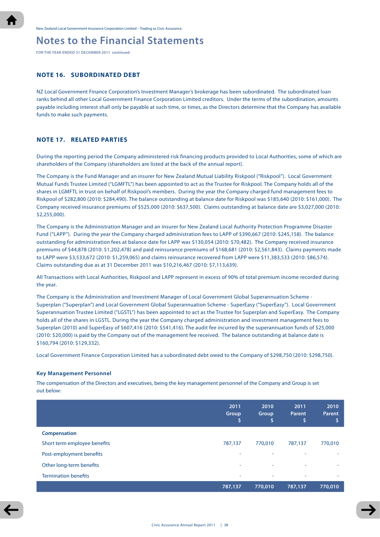**FOR THE YEAR ENDED 31 DECEMBER 2011 continued**

# **NOTE 16. SUBORDINATED DEBT**

NZ Local Government Finance Corporation's Investment Manager's brokerage has been subordinated. The subordinated loan ranks behind all other Local Government Finance Corporation Limited creditors. Under the terms of the subordination, amounts payable including interest shall only be payable at such time, or times, as the Directors determine that the Company has available funds to make such payments.

## **NOTE 17. RELATED PARTIES**

During the reporting period the Company administered risk financing products provided to Local Authorities, some of which are shareholders of the Company (shareholders are listed at the back of the annual report).

The Company is the Fund Manager and an insurer for New Zealand Mutual Liability Riskpool ("Riskpool"). Local Government Mutual Funds Trustee Limited ("LGMFTL") has been appointed to act as the Trustee for Riskpool. The Company holds all of the shares in LGMFTL in trust on behalf of Riskpool's members. During the year the Company charged fund management fees to Riskpool of \$282,800 (2010: \$284,490). The balance outstanding at balance date for Riskpool was \$185,640 (2010: \$161,000). The Company received insurance premiums of \$525,000 (2010: \$637,500). Claims outstanding at balance date are \$3,027,000 (2010: \$2,255,000).

The Company is the Administration Manager and an insurer for New Zealand Local Authority Protection Programme Disaster Fund ("LAPP"). During the year the Company charged administration fees to LAPP of \$390,667 (2010: \$245,158). The balance outstanding for administration fees at balance date for LAPP was \$130,054 (2010: \$70,482). The Company received insurance premiums of \$44,878 (2010: \$1,202,478) and paid reinsurance premiums of \$168,681 (2010: \$2,561,843). Claims payments made to LAPP were \$3,533,672 (2010: \$1,259,065) and claims reinsurance recovered from LAPP were \$11,383,533 (2010: \$86,574). Claims outstanding due as at 31 December 2011 was \$10,216,467 (2010: \$7,113,639).

All Transactions with Local Authorities, Riskpool and LAPP represent in excess of 90% of total premium income recorded during the year.

The Company is the Administration and Investment Manager of Local Government Global Superannuation Scheme - Superplan ("Superplan") and Local Government Global Superannuation Scheme - SuperEasy ("SuperEasy"). Local Government Superannuation Trustee Limited ("LGSTL") has been appointed to act as the Trustee for Superplan and SuperEasy. The Company holds all of the shares in LGSTL. During the year the Company charged administration and investment management fees to Superplan (2010) and SuperEasy of \$607,416 (2010: \$541,416). The audit fee incurred by the superannuation funds of \$25,000 (2010: \$20,000) is paid by the Company out of the management fee received. The balance outstanding at balance date is \$160,794 (2010: \$129,332).

Local Government Finance Corporation Limited has a subordinated debt owed to the Company of \$298,750 (2010: \$298,750).

#### **Key Management Personnel**

The compensation of the Directors and executives, being the key management personnel of the Company and Group is set out below:

|                              | 2011<br>Group<br>\$ | 2010<br>Group<br>'\$ | 2011<br>Parent<br>\$ | 2010<br><b>Parent</b> |
|------------------------------|---------------------|----------------------|----------------------|-----------------------|
| <b>Compensation</b>          |                     |                      |                      |                       |
| Short term employee benefits | 787,137             | 770,010              | 787,137              | 770,010               |
| Post-employment benefits     |                     | ۰                    | ۰                    | ۰                     |
| Other long-term benefits     | ۰                   | ٠                    | ٠                    | ٠                     |
| <b>Termination benefits</b>  | ٠                   | ٠                    | ٠                    | ٠                     |
|                              | 787,137             | 770,010              | 787,137              | 770,010               |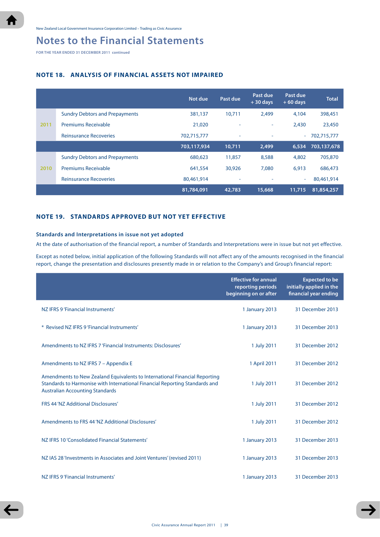**FOR THE YEAR ENDED 31 DECEMBER 2011 continued**

# **NOTE 18. ANALYSIS OF FINANCIAL ASSETS NOT IMPAIRED**

|      |                                       | Not due     | Past due | Past due<br>$+30$ days | Past due<br>$+60$ days | <b>Total</b> |
|------|---------------------------------------|-------------|----------|------------------------|------------------------|--------------|
| 2011 | <b>Sundry Debtors and Prepayments</b> | 381,137     | 10,711   | 2.499                  | 4,104                  | 398,451      |
|      | <b>Premiums Receivable</b>            | 21,020      | ٠        | ٠                      | 2,430                  | 23,450       |
|      | <b>Reinsurance Recoveries</b>         | 702,715,777 | ٠        | ٠                      | $\sim$                 | 702,715,777  |
|      |                                       | 703,117,934 | 10,711   | 2,499                  | 6,534                  | 703,137,678  |
| 2010 | <b>Sundry Debtors and Prepayments</b> | 680,623     | 11,857   | 8,588                  | 4,802                  | 705,870      |
|      | <b>Premiums Receivable</b>            | 641,554     | 30,926   | 7.080                  | 6,913                  | 686,473      |
|      | <b>Reinsurance Recoveries</b>         | 80,461,914  | ۰        | ٠                      | ٠                      | 80,461,914   |
|      |                                       | 81,784,091  | 42,783   | 15,668                 | 11,715                 | 81,854,257   |

# **NOTE 19. STANDARDS APPROVED BUT NOT YET EFFECTIVE**

# **Standards and Interpretations in issue not yet adopted**

At the date of authorisation of the financial report, a number of Standards and Interpretations were in issue but not yet effective.

Except as noted below, initial application of the following Standards will not affect any of the amounts recognised in the financial report, change the presentation and disclosures presently made in or relation to the Company's and Group's financial report:

|                                                                                                                                                                                                     | <b>Effective for annual</b><br>reporting periods<br>beginning on or after | <b>Expected to be</b><br>initially applied in the<br>financial year ending |
|-----------------------------------------------------------------------------------------------------------------------------------------------------------------------------------------------------|---------------------------------------------------------------------------|----------------------------------------------------------------------------|
| NZ IFRS 9'Financial Instruments'                                                                                                                                                                    | 1 January 2013                                                            | 31 December 2013                                                           |
| * Revised NZ IFRS 9 'Financial Instruments'                                                                                                                                                         | 1 January 2013                                                            | 31 December 2013                                                           |
| Amendments to NZ IFRS 7 'Financial Instruments: Disclosures'                                                                                                                                        | 1 July 2011                                                               | 31 December 2012                                                           |
| Amendments to NZ IFRS 7 - Appendix E                                                                                                                                                                | 1 April 2011                                                              | 31 December 2012                                                           |
| Amendments to New Zealand Equivalents to International Financial Reporting<br>Standards to Harmonise with International Financial Reporting Standards and<br><b>Australian Accounting Standards</b> | 1 July 2011                                                               | 31 December 2012                                                           |
| FRS 44 'NZ Additional Disclosures'                                                                                                                                                                  | 1 July 2011                                                               | 31 December 2012                                                           |
| Amendments to FRS 44 'NZ Additional Disclosures'                                                                                                                                                    | 1 July 2011                                                               | 31 December 2012                                                           |
| NZ IFRS 10 'Consolidated Financial Statements'                                                                                                                                                      | 1 January 2013                                                            | 31 December 2013                                                           |
| NZ IAS 28 'Investments in Associates and Joint Ventures' (revised 2011)                                                                                                                             | 1 January 2013                                                            | 31 December 2013                                                           |
| NZ IFRS 9'Financial Instruments'                                                                                                                                                                    | 1 January 2013                                                            | 31 December 2013                                                           |

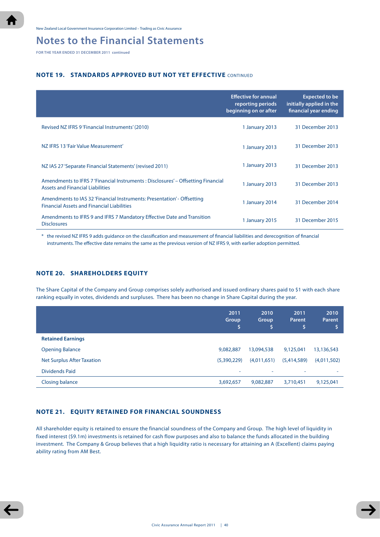**FOR THE YEAR ENDED 31 DECEMBER 2011 continued**

# **NOTE 19. STANDARDS APPROVED BUT NOT YET EFFECTIVE** continued

|                                                                                                                              | <b>Effective for annual</b><br>reporting periods<br>beginning on or after | <b>Expected to be</b><br>initially applied in the<br>financial year ending |
|------------------------------------------------------------------------------------------------------------------------------|---------------------------------------------------------------------------|----------------------------------------------------------------------------|
| Revised NZ IFRS 9'Financial Instruments' (2010)                                                                              | 1 January 2013                                                            | 31 December 2013                                                           |
| NZ IFRS 13 'Fair Value Measurement'                                                                                          | 1 January 2013                                                            | 31 December 2013                                                           |
| NZ IAS 27 'Separate Financial Statements' (revised 2011)                                                                     | 1 January 2013                                                            | 31 December 2013                                                           |
| Amendments to IFRS 7 'Financial Instruments : Disclosures' – Offsetting Financial<br><b>Assets and Financial Liabilities</b> | 1 January 2013                                                            | 31 December 2013                                                           |
| Amendments to IAS 32 'Financial Instruments: Presentation' - Offsetting<br><b>Financial Assets and Financial Liabilities</b> | 1 January 2014                                                            | 31 December 2014                                                           |
| Amendments to IFRS 9 and IFRS 7 Mandatory Effective Date and Transition<br><b>Disclosures</b>                                | 1 January 2015                                                            | 31 December 2015                                                           |

\* the revised NZ IFRS 9 adds guidance on the classification and measurement of financial liabilities and derecognition of financial instruments. The effective date remains the same as the previous version of NZ IFRS 9, with earlier adoption permitted.

## **NOTE 20. SHAREHOLDERS EQUITY**

The Share Capital of the Company and Group comprises solely authorised and issued ordinary shares paid to \$1 with each share ranking equally in votes, dividends and surpluses. There has been no change in Share Capital during the year.

|                                   | 2011<br>Group<br>'\$     | 2010<br>Group<br>S | 2011<br><b>Parent</b><br>\$ | 2010<br><b>Parent</b> |
|-----------------------------------|--------------------------|--------------------|-----------------------------|-----------------------|
| <b>Retained Earnings</b>          |                          |                    |                             |                       |
| <b>Opening Balance</b>            | 9,082,887                | 13,094,538         | 9,125,041                   | 13,136,543            |
| <b>Net Surplus After Taxation</b> | (5,390,229)              | (4,011,651)        | (5,414,589)                 | (4,011,502)           |
| <b>Dividends Paid</b>             | $\overline{\phantom{a}}$ | ۰                  | ٠                           | -                     |
| Closing balance                   | 3,692,657                | 9,082,887          | 3,710,451                   | 9,125,041             |

# **NOTE 21. EQUITY RETAINED FOR FINANCIAL SOUNDNESS**

All shareholder equity is retained to ensure the financial soundness of the Company and Group. The high level of liquidity in fixed interest (\$9.1m) investments is retained for cash flow purposes and also to balance the funds allocated in the building investment. The Company & Group believes that a high liquidity ratio is necessary for attaining an A (Excellent) claims paying ability rating from AM Best.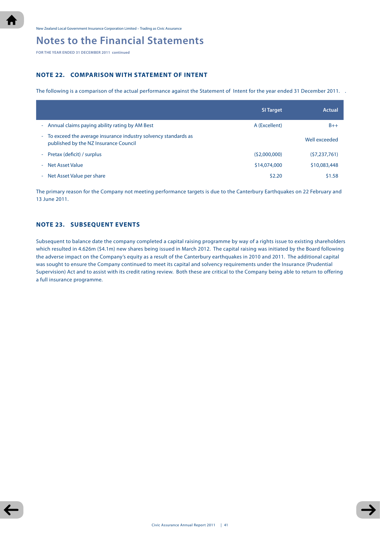**FOR THE YEAR ENDED 31 DECEMBER 2011 continued**

# **NOTE 22. COMPARISON WITH STATEMENT OF INTENT**

The following is a comparison of the actual performance against the Statement of Intent for the year ended 31 December 2011. .

|                                                                                                           | <b>SI Target</b> | Actual         |
|-----------------------------------------------------------------------------------------------------------|------------------|----------------|
| - Annual claims paying ability rating by AM Best                                                          | A (Excellent)    | $B++$          |
| - To exceed the average insurance industry solvency standards as<br>published by the NZ Insurance Council |                  | Well exceeded  |
| - Pretax (deficit) / surplus                                                                              | (52,000,000)     | (57, 237, 761) |
| - Net Asset Value                                                                                         | \$14,074,000     | \$10,083,448   |
| - Net Asset Value per share                                                                               | \$2.20           | \$1.58         |

The primary reason for the Company not meeting performance targets is due to the Canterbury Earthquakes on 22 February and 13 June 2011.

# **NOTE 23. SUBSEQUENT EVENTS**

Subsequent to balance date the company completed a capital raising programme by way of a rights issue to existing shareholders which resulted in 4.626m (\$4.1m) new shares being issued in March 2012. The capital raising was initiated by the Board following the adverse impact on the Company's equity as a result of the Canterbury earthquakes in 2010 and 2011. The additional capital was sought to ensure the Company continued to meet its capital and solvency requirements under the Insurance (Prudential Supervision) Act and to assist with its credit rating review. Both these are critical to the Company being able to return to offering a full insurance programme.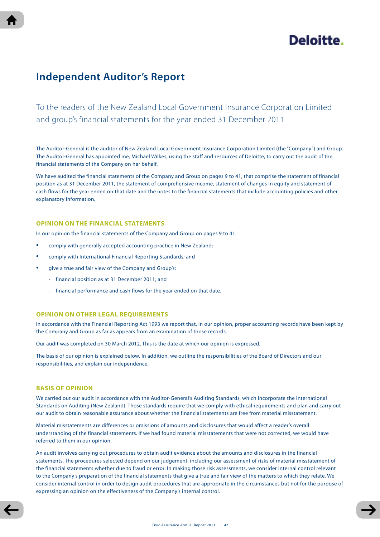

# **Independent Auditor's Report**

To the readers of the New Zealand Local Government Insurance Corporation Limited and group's financial statements for the year ended 31 December 2011

The Auditor-General is the auditor of New Zealand Local Government Insurance Corporation Limited (the "Company") and Group. The Auditor-General has appointed me, Michael Wilkes, using the staff and resources of Deloitte, to carry out the audit of the financial statements of the Company on her behalf.

We have audited the financial statements of the Company and Group on pages 9 to 41, that comprise the statement of financial position as at 31 December 2011, the statement of comprehensive income, statement of changes in equity and statement of cash flows for the year ended on that date and the notes to the financial statements that include accounting policies and other explanatory information.

## **Opinion on the financial statements**

In our opinion the financial statements of the Company and Group on pages 9 to 41:

- comply with generally accepted accounting practice in New Zealand;
- comply with International Financial Reporting Standards; and
- give a true and fair view of the Company and Group's:
	- financial position as at 31 December 2011; and
	- financial performance and cash flows for the year ended on that date.

# **Opinion on other legal requirements**

In accordance with the Financial Reporting Act 1993 we report that, in our opinion, proper accounting records have been kept by the Company and Group as far as appears from an examination of those records.

Our audit was completed on 30 March 2012. This is the date at which our opinion is expressed.

The basis of our opinion is explained below. In addition, we outline the responsibilities of the Board of Directors and our responsibilities, and explain our independence.

#### **Basis of opinion**

We carried out our audit in accordance with the Auditor-General's Auditing Standards, which incorporate the International Standards on Auditing (New Zealand). Those standards require that we comply with ethical requirements and plan and carry out our audit to obtain reasonable assurance about whether the financial statements are free from material misstatement.

Material misstatements are differences or omissions of amounts and disclosures that would affect a reader's overall understanding of the financial statements. If we had found material misstatements that were not corrected, we would have referred to them in our opinion.

An audit involves carrying out procedures to obtain audit evidence about the amounts and disclosures in the financial statements. The procedures selected depend on our judgement, including our assessment of risks of material misstatement of the financial statements whether due to fraud or error. In making those risk assessments, we consider internal control relevant to the Company's preparation of the financial statements that give a true and fair view of the matters to which they relate. We consider internal control in order to design audit procedures that are appropriate in the circumstances but not for the purpose of expressing an opinion on the effectiveness of the Company's internal control.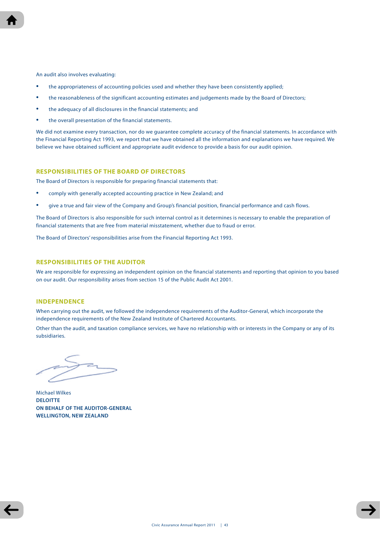

- the appropriateness of accounting policies used and whether they have been consistently applied;
- the reasonableness of the significant accounting estimates and judgements made by the Board of Directors;
- the adequacy of all disclosures in the financial statements; and
- the overall presentation of the financial statements.

We did not examine every transaction, nor do we guarantee complete accuracy of the financial statements. In accordance with the Financial Reporting Act 1993, we report that we have obtained all the information and explanations we have required. We believe we have obtained sufficient and appropriate audit evidence to provide a basis for our audit opinion.

## **Responsibilities of the Board of Directors**

The Board of Directors is responsible for preparing financial statements that:

- comply with generally accepted accounting practice in New Zealand; and
- give a true and fair view of the Company and Group's financial position, financial performance and cash flows.

The Board of Directors is also responsible for such internal control as it determines is necessary to enable the preparation of financial statements that are free from material misstatement, whether due to fraud or error.

The Board of Directors' responsibilities arise from the Financial Reporting Act 1993.

## **Responsibilities of the Auditor**

We are responsible for expressing an independent opinion on the financial statements and reporting that opinion to you based on our audit. Our responsibility arises from section 15 of the Public Audit Act 2001.

## **Independence**

When carrying out the audit, we followed the independence requirements of the Auditor-General, which incorporate the independence requirements of the New Zealand Institute of Chartered Accountants.

Other than the audit, and taxation compliance services, we have no relationship with or interests in the Company or any of its subsidiaries.

Michael Wilkes **DELOITTE ON BEHALF OF THE AUDITOR-GENERAL WELLINGTON, NEW ZEALAND**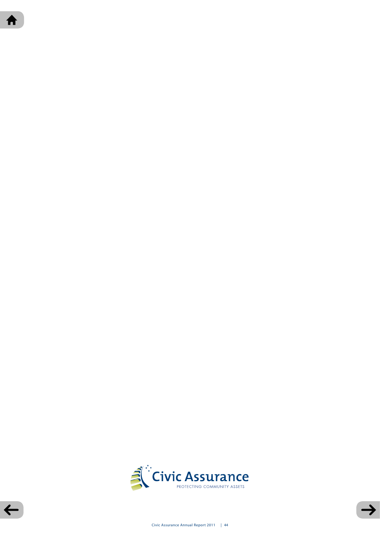



$$
\leftarrow
$$

Civic Assurance Annual Report 2011 | 44